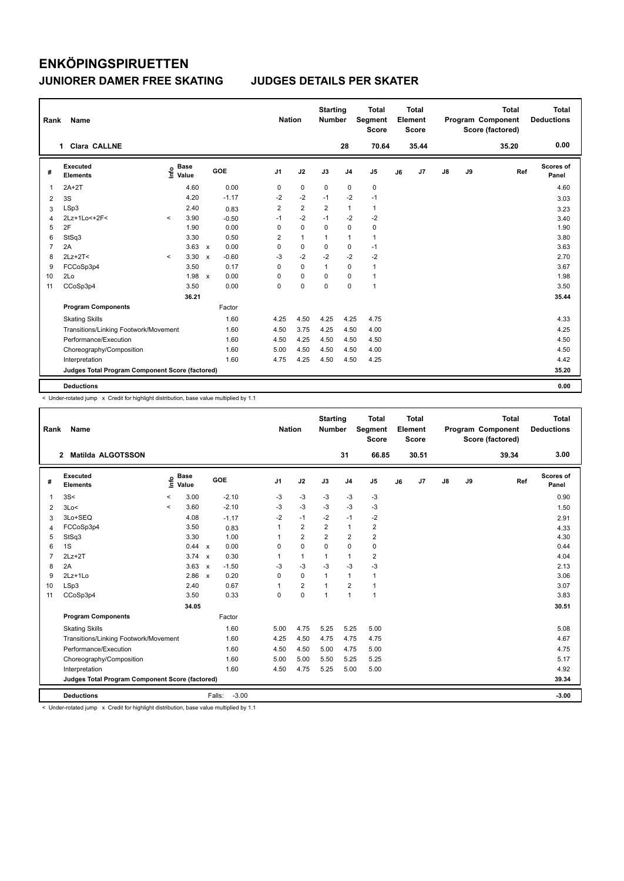| Rank           | <b>Name</b>                                     |         |                      |                           |         | <b>Nation</b>  |                | <b>Starting</b><br><b>Number</b> |                | <b>Total</b><br>Segment<br><b>Score</b> |    | <b>Total</b><br>Element<br><b>Score</b> |    |    | <b>Total</b><br>Program Component<br>Score (factored) |     | <b>Total</b><br><b>Deductions</b> |
|----------------|-------------------------------------------------|---------|----------------------|---------------------------|---------|----------------|----------------|----------------------------------|----------------|-----------------------------------------|----|-----------------------------------------|----|----|-------------------------------------------------------|-----|-----------------------------------|
|                | Clara CALLNE<br>1                               |         |                      |                           |         |                |                |                                  | 28             | 70.64                                   |    | 35.44                                   |    |    | 35.20                                                 |     | 0.00                              |
| #              | Executed<br><b>Elements</b>                     | ۴۵      | <b>Base</b><br>Value |                           | GOE     | J <sub>1</sub> | J2             | J3                               | J <sub>4</sub> | J <sub>5</sub>                          | J6 | J <sub>7</sub>                          | J8 | J9 |                                                       | Ref | Scores of<br>Panel                |
| $\mathbf{1}$   | $2A+2T$                                         |         | 4.60                 |                           | 0.00    | 0              | $\pmb{0}$      | $\mathbf 0$                      | $\mathbf 0$    | $\pmb{0}$                               |    |                                         |    |    |                                                       |     | 4.60                              |
| 2              | 3S                                              |         | 4.20                 |                           | $-1.17$ | $-2$           | $-2$           | $-1$                             | $-2$           | $-1$                                    |    |                                         |    |    |                                                       |     | 3.03                              |
| 3              | LSp3                                            |         | 2.40                 |                           | 0.83    | 2              | $\overline{2}$ | $\overline{2}$                   | $\mathbf{1}$   | $\mathbf{1}$                            |    |                                         |    |    |                                                       |     | 3.23                              |
| 4              | 2Lz+1Lo<+2F<                                    | $\prec$ | 3.90                 |                           | $-0.50$ | $-1$           | $-2$           | $-1$                             | $-2$           | $-2$                                    |    |                                         |    |    |                                                       |     | 3.40                              |
| 5              | 2F                                              |         | 1.90                 |                           | 0.00    | 0              | $\mathbf 0$    | 0                                | $\mathbf 0$    | 0                                       |    |                                         |    |    |                                                       |     | 1.90                              |
| 6              | StSq3                                           |         | 3.30                 |                           | 0.50    | 2              | $\mathbf{1}$   | $\mathbf{1}$                     | $\mathbf{1}$   | $\mathbf{1}$                            |    |                                         |    |    |                                                       |     | 3.80                              |
| $\overline{7}$ | 2A                                              |         | 3.63                 | $\mathsf{x}$              | 0.00    | 0              | $\mathbf 0$    | 0                                | 0              | $-1$                                    |    |                                         |    |    |                                                       |     | 3.63                              |
| 8              | $2Lz+2T<$                                       | $\prec$ | 3.30                 | $\boldsymbol{\mathsf{x}}$ | $-0.60$ | $-3$           | $-2$           | $-2$                             | $-2$           | $-2$                                    |    |                                         |    |    |                                                       |     | 2.70                              |
| 9              | FCCoSp3p4                                       |         | 3.50                 |                           | 0.17    | 0              | $\mathbf 0$    | $\mathbf{1}$                     | 0              | $\mathbf{1}$                            |    |                                         |    |    |                                                       |     | 3.67                              |
| 10             | 2Lo                                             |         | 1.98                 | $\mathbf{x}$              | 0.00    | $\Omega$       | $\mathbf 0$    | $\Omega$                         | 0              | $\mathbf{1}$                            |    |                                         |    |    |                                                       |     | 1.98                              |
| 11             | CCoSp3p4                                        |         | 3.50                 |                           | 0.00    | $\mathbf 0$    | $\mathbf 0$    | $\mathbf 0$                      | $\mathbf 0$    | $\mathbf{1}$                            |    |                                         |    |    |                                                       |     | 3.50                              |
|                |                                                 |         | 36.21                |                           |         |                |                |                                  |                |                                         |    |                                         |    |    |                                                       |     | 35.44                             |
|                | <b>Program Components</b>                       |         |                      |                           | Factor  |                |                |                                  |                |                                         |    |                                         |    |    |                                                       |     |                                   |
|                | <b>Skating Skills</b>                           |         |                      |                           | 1.60    | 4.25           | 4.50           | 4.25                             | 4.25           | 4.75                                    |    |                                         |    |    |                                                       |     | 4.33                              |
|                | Transitions/Linking Footwork/Movement           |         |                      |                           | 1.60    | 4.50           | 3.75           | 4.25                             | 4.50           | 4.00                                    |    |                                         |    |    |                                                       |     | 4.25                              |
|                | Performance/Execution                           |         |                      |                           | 1.60    | 4.50           | 4.25           | 4.50                             | 4.50           | 4.50                                    |    |                                         |    |    |                                                       |     | 4.50                              |
|                | Choreography/Composition                        |         |                      |                           | 1.60    | 5.00           | 4.50           | 4.50                             | 4.50           | 4.00                                    |    |                                         |    |    |                                                       |     | 4.50                              |
|                | Interpretation                                  |         |                      |                           | 1.60    | 4.75           | 4.25           | 4.50                             | 4.50           | 4.25                                    |    |                                         |    |    |                                                       |     | 4.42                              |
|                | Judges Total Program Component Score (factored) |         |                      |                           |         |                |                |                                  |                |                                         |    |                                         |    |    |                                                       |     | 35.20                             |
|                | <b>Deductions</b>                               |         |                      |                           |         |                |                |                                  |                |                                         |    |                                         |    |    |                                                       |     | 0.00                              |

-<br>< Under-rotated jump x Credit for highlight distribution, base value multiplied by 1.1

| Rank | Name                                            |         |                      |                   | <b>Nation</b>  |                         | <b>Starting</b><br><b>Number</b> |                | <b>Total</b><br>Segment<br><b>Score</b> |    | <b>Total</b><br>Element<br><b>Score</b> |               |    | <b>Total</b><br>Program Component<br>Score (factored) |     | <b>Total</b><br><b>Deductions</b> |
|------|-------------------------------------------------|---------|----------------------|-------------------|----------------|-------------------------|----------------------------------|----------------|-----------------------------------------|----|-----------------------------------------|---------------|----|-------------------------------------------------------|-----|-----------------------------------|
|      | <b>Matilda ALGOTSSON</b><br>$\overline{2}$      |         |                      |                   |                |                         |                                  | 31             | 66.85                                   |    | 30.51                                   |               |    | 39.34                                                 |     | 3.00                              |
| #    | Executed<br><b>Elements</b>                     | ۴ů      | <b>Base</b><br>Value | <b>GOE</b>        | J <sub>1</sub> | J2                      | J3                               | J <sub>4</sub> | J <sub>5</sub>                          | J6 | J7                                      | $\mathsf{J}8$ | J9 |                                                       | Ref | Scores of<br>Panel                |
| 1    | 3S<                                             | $\prec$ | 3.00                 | $-2.10$           | $-3$           | $-3$                    | $-3$                             | $-3$           | $-3$                                    |    |                                         |               |    |                                                       |     | 0.90                              |
| 2    | 3Lo<                                            | $\prec$ | 3.60                 | $-2.10$           | $-3$           | $-3$                    | $-3$                             | $-3$           | $-3$                                    |    |                                         |               |    |                                                       |     | 1.50                              |
| 3    | 3Lo+SEQ                                         |         | 4.08                 | $-1.17$           | $-2$           | $-1$                    | $-2$                             | $-1$           | $-2$                                    |    |                                         |               |    |                                                       |     | 2.91                              |
| 4    | FCCoSp3p4                                       |         | 3.50                 | 0.83              | 1              | $\overline{2}$          | $\overline{2}$                   | $\mathbf{1}$   | 2                                       |    |                                         |               |    |                                                       |     | 4.33                              |
| 5    | StSq3                                           |         | 3.30                 | 1.00              | 1              | $\overline{2}$          | $\overline{2}$                   | $\overline{2}$ | $\overline{2}$                          |    |                                         |               |    |                                                       |     | 4.30                              |
| 6    | 1S                                              |         | 0.44 x               | 0.00              | 0              | 0                       | $\Omega$                         | 0              | 0                                       |    |                                         |               |    |                                                       |     | 0.44                              |
| 7    | $2Lz+2T$                                        |         | $3.74 \times$        | 0.30              | 1              | $\mathbf{1}$            | 1                                | $\mathbf{1}$   | $\overline{2}$                          |    |                                         |               |    |                                                       |     | 4.04                              |
| 8    | 2A                                              |         | $3.63 \times$        | $-1.50$           | $-3$           | $-3$                    | $-3$                             | $-3$           | $-3$                                    |    |                                         |               |    |                                                       |     | 2.13                              |
| 9    | $2Lz+1Lo$                                       |         | 2.86 x               | 0.20              | $\Omega$       | $\Omega$                | 1                                | $\mathbf{1}$   | 1                                       |    |                                         |               |    |                                                       |     | 3.06                              |
| 10   | LSp3                                            |         | 2.40                 | 0.67              | 1              | $\overline{\mathbf{c}}$ | 1                                | $\overline{2}$ | 1                                       |    |                                         |               |    |                                                       |     | 3.07                              |
| 11   | CCoSp3p4                                        |         | 3.50                 | 0.33              | $\Omega$       | $\Omega$                | $\overline{1}$                   | $\mathbf{1}$   | $\mathbf{1}$                            |    |                                         |               |    |                                                       |     | 3.83                              |
|      |                                                 |         | 34.05                |                   |                |                         |                                  |                |                                         |    |                                         |               |    |                                                       |     | 30.51                             |
|      | <b>Program Components</b>                       |         |                      | Factor            |                |                         |                                  |                |                                         |    |                                         |               |    |                                                       |     |                                   |
|      | <b>Skating Skills</b>                           |         |                      | 1.60              | 5.00           | 4.75                    | 5.25                             | 5.25           | 5.00                                    |    |                                         |               |    |                                                       |     | 5.08                              |
|      | Transitions/Linking Footwork/Movement           |         |                      | 1.60              | 4.25           | 4.50                    | 4.75                             | 4.75           | 4.75                                    |    |                                         |               |    |                                                       |     | 4.67                              |
|      | Performance/Execution                           |         |                      | 1.60              | 4.50           | 4.50                    | 5.00                             | 4.75           | 5.00                                    |    |                                         |               |    |                                                       |     | 4.75                              |
|      | Choreography/Composition                        |         |                      | 1.60              | 5.00           | 5.00                    | 5.50                             | 5.25           | 5.25                                    |    |                                         |               |    |                                                       |     | 5.17                              |
|      | Interpretation                                  |         |                      | 1.60              | 4.50           | 4.75                    | 5.25                             | 5.00           | 5.00                                    |    |                                         |               |    |                                                       |     | 4.92                              |
|      | Judges Total Program Component Score (factored) |         |                      |                   |                |                         |                                  |                |                                         |    |                                         |               |    |                                                       |     | 39.34                             |
|      | <b>Deductions</b>                               |         |                      | $-3.00$<br>Falls: |                |                         |                                  |                |                                         |    |                                         |               |    |                                                       |     | $-3.00$                           |

< Under-rotated jump x Credit for highlight distribution, base value multiplied by 1.1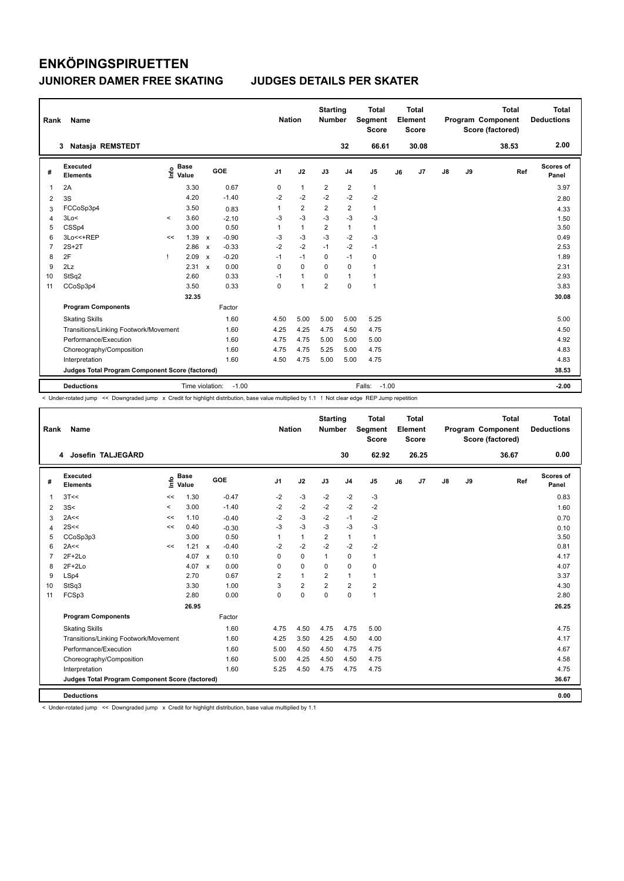| Rank           | <b>Name</b>                                     |         |                      |                           |         |                | <b>Nation</b>  | <b>Starting</b><br><b>Number</b> |                         | <b>Total</b><br>Segment<br><b>Score</b> |    | <b>Total</b><br>Element<br><b>Score</b> |               |    | <b>Total</b><br>Program Component<br>Score (factored) | <b>Total</b><br><b>Deductions</b> |
|----------------|-------------------------------------------------|---------|----------------------|---------------------------|---------|----------------|----------------|----------------------------------|-------------------------|-----------------------------------------|----|-----------------------------------------|---------------|----|-------------------------------------------------------|-----------------------------------|
|                | Natasja REMSTEDT<br>3                           |         |                      |                           |         |                |                |                                  | 32                      | 66.61                                   |    | 30.08                                   |               |    | 38.53                                                 | 2.00                              |
| #              | Executed<br><b>Elements</b>                     | lnfo    | <b>Base</b><br>Value |                           | GOE     | J <sub>1</sub> | J2             | J3                               | J <sub>4</sub>          | J5                                      | J6 | J <sub>7</sub>                          | $\mathsf{J}8$ | J9 | Ref                                                   | Scores of<br>Panel                |
| $\overline{1}$ | 2A                                              |         | 3.30                 |                           | 0.67    | 0              | $\mathbf{1}$   | $\overline{2}$                   | $\overline{2}$          | $\mathbf{1}$                            |    |                                         |               |    |                                                       | 3.97                              |
| 2              | 3S                                              |         | 4.20                 |                           | $-1.40$ | $-2$           | $-2$           | $-2$                             | $-2$                    | $-2$                                    |    |                                         |               |    |                                                       | 2.80                              |
| 3              | FCCoSp3p4                                       |         | 3.50                 |                           | 0.83    | 1              | $\overline{2}$ | $\overline{2}$                   | $\overline{\mathbf{c}}$ | 1                                       |    |                                         |               |    |                                                       | 4.33                              |
| $\overline{4}$ | 3Lo<                                            | $\prec$ | 3.60                 |                           | $-2.10$ | $-3$           | $-3$           | $-3$                             | $-3$                    | $-3$                                    |    |                                         |               |    |                                                       | 1.50                              |
| 5              | CSSp4                                           |         | 3.00                 |                           | 0.50    |                | $\mathbf{1}$   | $\overline{2}$                   | $\mathbf{1}$            | 1                                       |    |                                         |               |    |                                                       | 3.50                              |
| 6              | 3Lo<<+REP                                       | <<      | 1.39                 | $\boldsymbol{\mathsf{x}}$ | $-0.90$ | $-3$           | $-3$           | -3                               | $-2$                    | $-3$                                    |    |                                         |               |    |                                                       | 0.49                              |
| $\overline{7}$ | $2S+2T$                                         |         | 2.86                 | $\boldsymbol{\mathsf{x}}$ | $-0.33$ | $-2$           | $-2$           | $-1$                             | $-2$                    | $-1$                                    |    |                                         |               |    |                                                       | 2.53                              |
| 8              | 2F                                              | 1       | 2.09                 | $\mathbf{x}$              | $-0.20$ | $-1$           | $-1$           | $\Omega$                         | $-1$                    | $\mathbf 0$                             |    |                                         |               |    |                                                       | 1.89                              |
| 9              | 2Lz                                             |         | 2.31                 | $\mathsf{x}$              | 0.00    | 0              | $\mathbf 0$    | $\Omega$                         | $\mathbf 0$             | 1                                       |    |                                         |               |    |                                                       | 2.31                              |
| 10             | StSq2                                           |         | 2.60                 |                           | 0.33    | $-1$           | $\mathbf{1}$   | $\Omega$                         | $\mathbf{1}$            | 1                                       |    |                                         |               |    |                                                       | 2.93                              |
| 11             | CCoSp3p4                                        |         | 3.50                 |                           | 0.33    | $\mathbf 0$    | $\mathbf{1}$   | $\overline{2}$                   | $\mathbf 0$             | $\mathbf{1}$                            |    |                                         |               |    |                                                       | 3.83                              |
|                |                                                 |         | 32.35                |                           |         |                |                |                                  |                         |                                         |    |                                         |               |    |                                                       | 30.08                             |
|                | <b>Program Components</b>                       |         |                      |                           | Factor  |                |                |                                  |                         |                                         |    |                                         |               |    |                                                       |                                   |
|                | <b>Skating Skills</b>                           |         |                      |                           | 1.60    | 4.50           | 5.00           | 5.00                             | 5.00                    | 5.25                                    |    |                                         |               |    |                                                       | 5.00                              |
|                | Transitions/Linking Footwork/Movement           |         |                      |                           | 1.60    | 4.25           | 4.25           | 4.75                             | 4.50                    | 4.75                                    |    |                                         |               |    |                                                       | 4.50                              |
|                | Performance/Execution                           |         |                      |                           | 1.60    | 4.75           | 4.75           | 5.00                             | 5.00                    | 5.00                                    |    |                                         |               |    |                                                       | 4.92                              |
|                | Choreography/Composition                        |         |                      |                           | 1.60    | 4.75           | 4.75           | 5.25                             | 5.00                    | 4.75                                    |    |                                         |               |    |                                                       | 4.83                              |
|                | Interpretation                                  |         |                      |                           | 1.60    | 4.50           | 4.75           | 5.00                             | 5.00                    | 4.75                                    |    |                                         |               |    |                                                       | 4.83                              |
|                | Judges Total Program Component Score (factored) |         |                      |                           |         |                |                |                                  |                         |                                         |    |                                         |               |    |                                                       | 38.53                             |
|                | <b>Deductions</b>                               |         | Time violation:      |                           | $-1.00$ |                |                |                                  |                         | Falls:<br>$-1.00$                       |    |                                         |               |    |                                                       | $-2.00$                           |

< Under-rotated jump << Downgraded jump x Credit for highlight distribution, base value multiplied by 1.1 ! Not clear edge REP Jump repetition

| Rank           | <b>Name</b>                                     |         |                                           |                           |         | <b>Nation</b>  |                | <b>Starting</b><br><b>Number</b> |                | <b>Total</b><br>Segment<br><b>Score</b> |    | <b>Total</b><br>Element<br><b>Score</b> |    |    | <b>Total</b><br>Program Component<br>Score (factored) | <b>Total</b><br><b>Deductions</b> |
|----------------|-------------------------------------------------|---------|-------------------------------------------|---------------------------|---------|----------------|----------------|----------------------------------|----------------|-----------------------------------------|----|-----------------------------------------|----|----|-------------------------------------------------------|-----------------------------------|
|                | 4 Josefin TALJEGÅRD                             |         |                                           |                           |         |                |                |                                  | 30             | 62.92                                   |    | 26.25                                   |    |    | 36.67                                                 | 0.00                              |
| #              | Executed<br><b>Elements</b>                     |         | $\frac{e}{E}$ Base<br>$\frac{E}{E}$ Value |                           | GOE     | J <sub>1</sub> | J2             | J3                               | J <sub>4</sub> | J <sub>5</sub>                          | J6 | J <sub>7</sub>                          | J8 | J9 | Ref                                                   | <b>Scores of</b><br>Panel         |
| 1              | 3T <                                            | <<      | 1.30                                      |                           | $-0.47$ | $-2$           | $-3$           | $-2$                             | $-2$           | $-3$                                    |    |                                         |    |    |                                                       | 0.83                              |
| 2              | 3S<                                             | $\prec$ | 3.00                                      |                           | $-1.40$ | $-2$           | $-2$           | $-2$                             | $-2$           | $-2$                                    |    |                                         |    |    |                                                       | 1.60                              |
| 3              | 2A<<                                            | <<      | 1.10                                      |                           | $-0.40$ | $-2$           | $-3$           | $-2$                             | $-1$           | $-2$                                    |    |                                         |    |    |                                                       | 0.70                              |
| 4              | 2S<<                                            | <<      | 0.40                                      |                           | $-0.30$ | $-3$           | $-3$           | $-3$                             | $-3$           | $-3$                                    |    |                                         |    |    |                                                       | 0.10                              |
| 5              | CCoSp3p3                                        |         | 3.00                                      |                           | 0.50    | 1              | $\mathbf{1}$   | $\overline{2}$                   | $\mathbf{1}$   | $\mathbf{1}$                            |    |                                         |    |    |                                                       | 3.50                              |
| 6              | 2A<<                                            | <<      | 1.21                                      | $\mathsf{x}$              | $-0.40$ | $-2$           | $-2$           | $-2$                             | $-2$           | $-2$                                    |    |                                         |    |    |                                                       | 0.81                              |
| $\overline{7}$ | $2F+2Lo$                                        |         | 4.07                                      | $\boldsymbol{\mathsf{x}}$ | 0.10    | $\mathbf 0$    | $\mathbf 0$    | $\mathbf{1}$                     | $\mathbf 0$    | $\mathbf{1}$                            |    |                                         |    |    |                                                       | 4.17                              |
| 8              | $2F+2Lo$                                        |         | 4.07                                      | $\mathsf{x}$              | 0.00    | 0              | $\Omega$       | $\Omega$                         | $\mathbf 0$    | 0                                       |    |                                         |    |    |                                                       | 4.07                              |
| 9              | LSp4                                            |         | 2.70                                      |                           | 0.67    | $\overline{2}$ | $\mathbf{1}$   | $\overline{2}$                   | $\mathbf{1}$   | $\mathbf{1}$                            |    |                                         |    |    |                                                       | 3.37                              |
| 10             | StSq3                                           |         | 3.30                                      |                           | 1.00    | 3              | $\overline{2}$ | $\overline{2}$                   | $\overline{2}$ | $\overline{\mathbf{c}}$                 |    |                                         |    |    |                                                       | 4.30                              |
| 11             | FCSp3                                           |         | 2.80                                      |                           | 0.00    | $\mathbf 0$    | $\pmb{0}$      | $\mathbf 0$                      | 0              | $\mathbf{1}$                            |    |                                         |    |    |                                                       | 2.80                              |
|                |                                                 |         | 26.95                                     |                           |         |                |                |                                  |                |                                         |    |                                         |    |    |                                                       | 26.25                             |
|                | <b>Program Components</b>                       |         |                                           |                           | Factor  |                |                |                                  |                |                                         |    |                                         |    |    |                                                       |                                   |
|                | <b>Skating Skills</b>                           |         |                                           |                           | 1.60    | 4.75           | 4.50           | 4.75                             | 4.75           | 5.00                                    |    |                                         |    |    |                                                       | 4.75                              |
|                | Transitions/Linking Footwork/Movement           |         |                                           |                           | 1.60    | 4.25           | 3.50           | 4.25                             | 4.50           | 4.00                                    |    |                                         |    |    |                                                       | 4.17                              |
|                | Performance/Execution                           |         |                                           |                           | 1.60    | 5.00           | 4.50           | 4.50                             | 4.75           | 4.75                                    |    |                                         |    |    |                                                       | 4.67                              |
|                | Choreography/Composition                        |         |                                           |                           | 1.60    | 5.00           | 4.25           | 4.50                             | 4.50           | 4.75                                    |    |                                         |    |    |                                                       | 4.58                              |
|                | Interpretation                                  |         |                                           |                           | 1.60    | 5.25           | 4.50           | 4.75                             | 4.75           | 4.75                                    |    |                                         |    |    |                                                       | 4.75                              |
|                | Judges Total Program Component Score (factored) |         |                                           |                           |         |                |                |                                  |                |                                         |    |                                         |    |    |                                                       | 36.67                             |
|                | <b>Deductions</b>                               |         |                                           |                           |         |                |                |                                  |                |                                         |    |                                         |    |    |                                                       | 0.00                              |

< Under-rotated jump << Downgraded jump x Credit for highlight distribution, base value multiplied by 1.1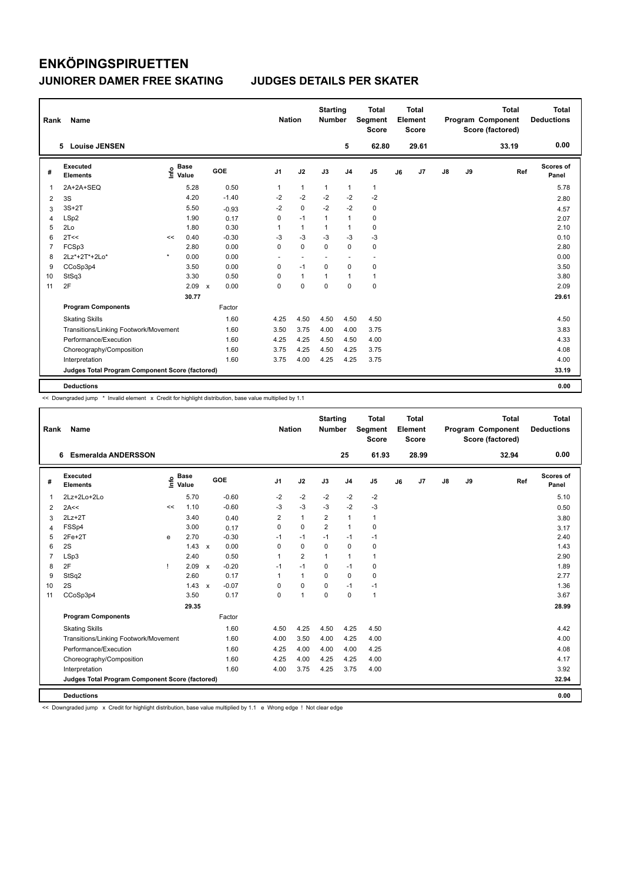| Rank           | Name                                            |         |                      |                           |         | <b>Nation</b>  |                | <b>Starting</b><br><b>Number</b> |                          | <b>Total</b><br>Segment<br><b>Score</b> |    | Total<br>Element<br><b>Score</b> |               |    | <b>Total</b><br>Program Component<br>Score (factored) |     | Total<br><b>Deductions</b> |
|----------------|-------------------------------------------------|---------|----------------------|---------------------------|---------|----------------|----------------|----------------------------------|--------------------------|-----------------------------------------|----|----------------------------------|---------------|----|-------------------------------------------------------|-----|----------------------------|
|                | <b>Louise JENSEN</b><br>5.                      |         |                      |                           |         |                |                |                                  | 5                        | 62.80                                   |    | 29.61                            |               |    | 33.19                                                 |     | 0.00                       |
| #              | Executed<br><b>Elements</b>                     | ١nf٥    | <b>Base</b><br>Value |                           | GOE     | J <sub>1</sub> | J2             | J3                               | J <sub>4</sub>           | J <sub>5</sub>                          | J6 | J7                               | $\mathsf{J}8$ | J9 |                                                       | Ref | <b>Scores of</b><br>Panel  |
| 1              | 2A+2A+SEQ                                       |         | 5.28                 |                           | 0.50    | 1              | $\mathbf{1}$   | $\mathbf{1}$                     | $\mathbf{1}$             | $\mathbf{1}$                            |    |                                  |               |    |                                                       |     | 5.78                       |
| 2              | 3S                                              |         | 4.20                 |                           | $-1.40$ | $-2$           | $-2$           | $-2$                             | $-2$                     | $-2$                                    |    |                                  |               |    |                                                       |     | 2.80                       |
| 3              | $3S+2T$                                         |         | 5.50                 |                           | $-0.93$ | $-2$           | $\mathbf 0$    | $-2$                             | $-2$                     | $\pmb{0}$                               |    |                                  |               |    |                                                       |     | 4.57                       |
| $\overline{4}$ | LSp2                                            |         | 1.90                 |                           | 0.17    | 0              | $-1$           | $\mathbf{1}$                     | $\mathbf{1}$             | $\pmb{0}$                               |    |                                  |               |    |                                                       |     | 2.07                       |
| 5              | 2Lo                                             |         | 1.80                 |                           | 0.30    | 1              | $\mathbf{1}$   | 1                                | $\mathbf{1}$             | 0                                       |    |                                  |               |    |                                                       |     | 2.10                       |
| 6              | 2T<<                                            | <<      | 0.40                 |                           | $-0.30$ | $-3$           | $-3$           | $-3$                             | $-3$                     | $-3$                                    |    |                                  |               |    |                                                       |     | 0.10                       |
| $\overline{7}$ | FCSp3                                           |         | 2.80                 |                           | 0.00    | $\mathbf 0$    | $\mathbf 0$    | $\mathbf 0$                      | $\mathbf 0$              | $\mathbf 0$                             |    |                                  |               |    |                                                       |     | 2.80                       |
| 8              | 2Lz*+2T*+2Lo*                                   | $\star$ | 0.00                 |                           | 0.00    | $\sim$         | $\overline{a}$ | $\overline{\phantom{a}}$         | $\overline{\phantom{a}}$ | $\overline{\phantom{a}}$                |    |                                  |               |    |                                                       |     | 0.00                       |
| 9              | CCoSp3p4                                        |         | 3.50                 |                           | 0.00    | 0              | $-1$           | $\mathbf 0$                      | $\mathbf 0$              | $\pmb{0}$                               |    |                                  |               |    |                                                       |     | 3.50                       |
| 10             | StSq3                                           |         | 3.30                 |                           | 0.50    | 0              | $\mathbf{1}$   | $\mathbf{1}$                     | $\overline{1}$           | $\mathbf{1}$                            |    |                                  |               |    |                                                       |     | 3.80                       |
| 11             | 2F                                              |         | 2.09                 | $\boldsymbol{\mathsf{x}}$ | 0.00    | 0              | 0              | 0                                | $\mathbf 0$              | $\mathbf 0$                             |    |                                  |               |    |                                                       |     | 2.09                       |
|                |                                                 |         | 30.77                |                           |         |                |                |                                  |                          |                                         |    |                                  |               |    |                                                       |     | 29.61                      |
|                | <b>Program Components</b>                       |         |                      |                           | Factor  |                |                |                                  |                          |                                         |    |                                  |               |    |                                                       |     |                            |
|                | <b>Skating Skills</b>                           |         |                      |                           | 1.60    | 4.25           | 4.50           | 4.50                             | 4.50                     | 4.50                                    |    |                                  |               |    |                                                       |     | 4.50                       |
|                | Transitions/Linking Footwork/Movement           |         |                      |                           | 1.60    | 3.50           | 3.75           | 4.00                             | 4.00                     | 3.75                                    |    |                                  |               |    |                                                       |     | 3.83                       |
|                | Performance/Execution                           |         |                      |                           | 1.60    | 4.25           | 4.25           | 4.50                             | 4.50                     | 4.00                                    |    |                                  |               |    |                                                       |     | 4.33                       |
|                | Choreography/Composition                        |         |                      |                           | 1.60    | 3.75           | 4.25           | 4.50                             | 4.25                     | 3.75                                    |    |                                  |               |    |                                                       |     | 4.08                       |
|                | Interpretation                                  |         |                      |                           | 1.60    | 3.75           | 4.00           | 4.25                             | 4.25                     | 3.75                                    |    |                                  |               |    |                                                       |     | 4.00                       |
|                | Judges Total Program Component Score (factored) |         |                      |                           |         |                |                |                                  |                          |                                         |    |                                  |               |    |                                                       |     | 33.19                      |
|                | <b>Deductions</b>                               |         |                      |                           |         |                |                |                                  |                          |                                         |    |                                  |               |    |                                                       |     | 0.00                       |

<< Downgraded jump \* Invalid element x Credit for highlight distribution, base value multiplied by 1.1

| Rank           | Name                                            |    |                            |                           |         | <b>Nation</b>  |                | <b>Starting</b><br><b>Number</b> |                | <b>Total</b><br>Segment<br><b>Score</b> |    | <b>Total</b><br>Element<br><b>Score</b> |               |    | <b>Total</b><br>Program Component<br>Score (factored) | Total<br><b>Deductions</b> |
|----------------|-------------------------------------------------|----|----------------------------|---------------------------|---------|----------------|----------------|----------------------------------|----------------|-----------------------------------------|----|-----------------------------------------|---------------|----|-------------------------------------------------------|----------------------------|
|                | <b>Esmeralda ANDERSSON</b><br>6                 |    |                            |                           |         |                |                |                                  | 25             | 61.93                                   |    | 28.99                                   |               |    | 32.94                                                 | 0.00                       |
| #              | Executed<br><b>Elements</b>                     |    | e Base<br>E Value<br>Value |                           | GOE     | J <sub>1</sub> | J2             | J3                               | J <sub>4</sub> | J <sub>5</sub>                          | J6 | J <sub>7</sub>                          | $\mathsf{J}8$ | J9 | Ref                                                   | <b>Scores of</b><br>Panel  |
| 1              | $2Lz+2Lo+2Lo$                                   |    | 5.70                       |                           | $-0.60$ | $-2$           | $-2$           | $-2$                             | $-2$           | $-2$                                    |    |                                         |               |    |                                                       | 5.10                       |
| 2              | 2A<<                                            | << | 1.10                       |                           | $-0.60$ | $-3$           | $-3$           | $-3$                             | $-2$           | $-3$                                    |    |                                         |               |    |                                                       | 0.50                       |
| 3              | $2Lz+2T$                                        |    | 3.40                       |                           | 0.40    | 2              | $\mathbf{1}$   | $\overline{2}$                   | $\mathbf{1}$   | $\mathbf{1}$                            |    |                                         |               |    |                                                       | 3.80                       |
| 4              | FSSp4                                           |    | 3.00                       |                           | 0.17    | 0              | 0              | $\overline{2}$                   | $\mathbf{1}$   | 0                                       |    |                                         |               |    |                                                       | 3.17                       |
| 5              | $2Fe+2T$                                        | e  | 2.70                       |                           | $-0.30$ | $-1$           | $-1$           | $-1$                             | $-1$           | $-1$                                    |    |                                         |               |    |                                                       | 2.40                       |
| 6              | 2S                                              |    | $1.43 \times$              |                           | 0.00    | 0              | 0              | $\Omega$                         | $\mathbf 0$    | 0                                       |    |                                         |               |    |                                                       | 1.43                       |
| $\overline{7}$ | LSp3                                            |    | 2.40                       |                           | 0.50    | 1              | $\overline{2}$ | 1                                | $\mathbf{1}$   | $\mathbf{1}$                            |    |                                         |               |    |                                                       | 2.90                       |
| 8              | 2F                                              | 1  | 2.09                       | $\boldsymbol{\mathsf{x}}$ | $-0.20$ | $-1$           | $-1$           | $\mathbf 0$                      | $-1$           | 0                                       |    |                                         |               |    |                                                       | 1.89                       |
| 9              | StSq2                                           |    | 2.60                       |                           | 0.17    |                | 1              | $\Omega$                         | 0              | 0                                       |    |                                         |               |    |                                                       | 2.77                       |
| 10             | 2S                                              |    | $1.43 \times$              |                           | $-0.07$ | 0              | $\Omega$       | $\Omega$                         | $-1$           | $-1$                                    |    |                                         |               |    |                                                       | 1.36                       |
| 11             | CCoSp3p4                                        |    | 3.50                       |                           | 0.17    | 0              | 1              | $\mathbf 0$                      | 0              | $\mathbf{1}$                            |    |                                         |               |    |                                                       | 3.67                       |
|                |                                                 |    | 29.35                      |                           |         |                |                |                                  |                |                                         |    |                                         |               |    |                                                       | 28.99                      |
|                | <b>Program Components</b>                       |    |                            |                           | Factor  |                |                |                                  |                |                                         |    |                                         |               |    |                                                       |                            |
|                | <b>Skating Skills</b>                           |    |                            |                           | 1.60    | 4.50           | 4.25           | 4.50                             | 4.25           | 4.50                                    |    |                                         |               |    |                                                       | 4.42                       |
|                | Transitions/Linking Footwork/Movement           |    |                            |                           | 1.60    | 4.00           | 3.50           | 4.00                             | 4.25           | 4.00                                    |    |                                         |               |    |                                                       | 4.00                       |
|                | Performance/Execution                           |    |                            |                           | 1.60    | 4.25           | 4.00           | 4.00                             | 4.00           | 4.25                                    |    |                                         |               |    |                                                       | 4.08                       |
|                | Choreography/Composition                        |    |                            |                           | 1.60    | 4.25           | 4.00           | 4.25                             | 4.25           | 4.00                                    |    |                                         |               |    |                                                       | 4.17                       |
|                | Interpretation                                  |    |                            |                           | 1.60    | 4.00           | 3.75           | 4.25                             | 3.75           | 4.00                                    |    |                                         |               |    |                                                       | 3.92                       |
|                | Judges Total Program Component Score (factored) |    |                            |                           |         |                |                |                                  |                |                                         |    |                                         |               |    |                                                       | 32.94                      |
|                | <b>Deductions</b>                               |    |                            |                           |         |                |                |                                  |                |                                         |    |                                         |               |    |                                                       | 0.00                       |

<< Downgraded jump x Credit for highlight distribution, base value multiplied by 1.1 e Wrong edge ! Not clear edge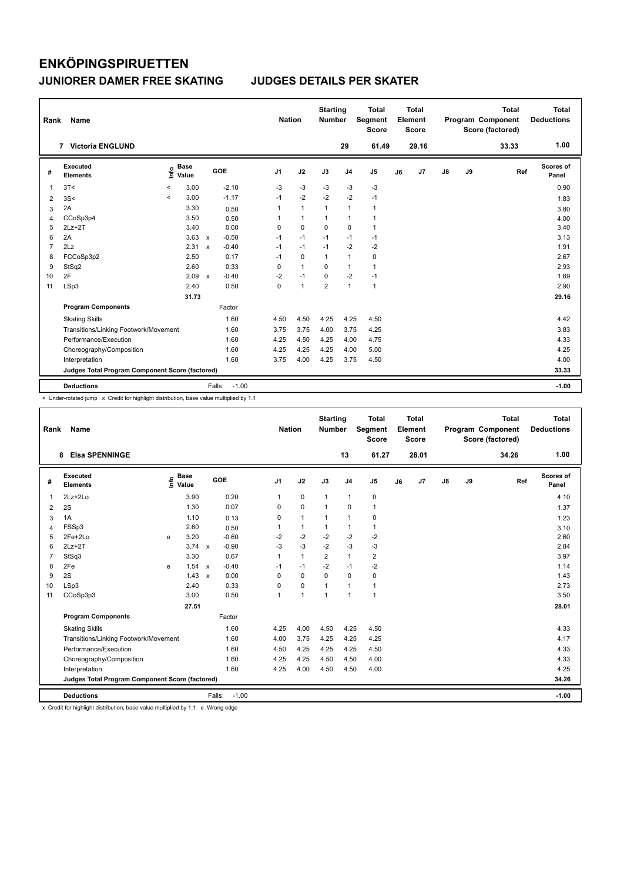| Rank           | Name                                            |                          |                      |              |                   |                | <b>Nation</b> |              | <b>Starting</b><br><b>Number</b> |                | <b>Total</b><br>Segment<br><b>Score</b> |    | <b>Total</b><br>Element<br><b>Score</b> |               |    | <b>Total</b><br>Program Component<br>Score (factored) | Total<br><b>Deductions</b> |
|----------------|-------------------------------------------------|--------------------------|----------------------|--------------|-------------------|----------------|---------------|--------------|----------------------------------|----------------|-----------------------------------------|----|-----------------------------------------|---------------|----|-------------------------------------------------------|----------------------------|
|                | <b>Victoria ENGLUND</b><br>$\overline{7}$       |                          |                      |              |                   |                |               |              |                                  | 29             | 61.49                                   |    | 29.16                                   |               |    | 33.33                                                 | 1.00                       |
| #              | Executed<br><b>Elements</b>                     | ١nf٥                     | <b>Base</b><br>Value |              | GOE               | J <sub>1</sub> |               | J2           | J3                               | J <sub>4</sub> | J <sub>5</sub>                          | J6 | J7                                      | $\mathsf{J}8$ | J9 | Ref                                                   | Scores of<br>Panel         |
| 1              | 3T<                                             | $\overline{\phantom{0}}$ | 3.00                 |              | $-2.10$           | $-3$           |               | $-3$         | -3                               | $-3$           | -3                                      |    |                                         |               |    |                                                       | 0.90                       |
| $\overline{2}$ | 3S<                                             | $\prec$                  | 3.00                 |              | $-1.17$           | $-1$           |               | $-2$         | $-2$                             | $-2$           | $-1$                                    |    |                                         |               |    |                                                       | 1.83                       |
| 3              | 2A                                              |                          | 3.30                 |              | 0.50              | 1              |               | $\mathbf{1}$ | $\mathbf{1}$                     | $\mathbf{1}$   | $\mathbf{1}$                            |    |                                         |               |    |                                                       | 3.80                       |
| 4              | CCoSp3p4                                        |                          | 3.50                 |              | 0.50              | 1              |               | $\mathbf{1}$ | $\mathbf{1}$                     | $\mathbf{1}$   | $\mathbf{1}$                            |    |                                         |               |    |                                                       | 4.00                       |
| 5              | $2Lz + 2T$                                      |                          | 3.40                 |              | 0.00              | 0              |               | $\mathbf 0$  | $\mathbf 0$                      | $\mathbf 0$    | $\mathbf{1}$                            |    |                                         |               |    |                                                       | 3.40                       |
| 6              | 2A                                              |                          | $3.63 \times$        |              | $-0.50$           | $-1$           |               | $-1$         | $-1$                             | $-1$           | $-1$                                    |    |                                         |               |    |                                                       | 3.13                       |
| 7              | 2Lz                                             |                          | 2.31                 | $\mathbf{x}$ | $-0.40$           | $-1$           |               | $-1$         | $-1$                             | $-2$           | $-2$                                    |    |                                         |               |    |                                                       | 1.91                       |
| 8              | FCCoSp3p2                                       |                          | 2.50                 |              | 0.17              | $-1$           |               | $\Omega$     | $\mathbf{1}$                     | $\mathbf{1}$   | $\mathbf 0$                             |    |                                         |               |    |                                                       | 2.67                       |
| 9              | StSq2                                           |                          | 2.60                 |              | 0.33              | 0              |               | $\mathbf{1}$ | 0                                | $\mathbf{1}$   | $\mathbf{1}$                            |    |                                         |               |    |                                                       | 2.93                       |
| 10             | 2F                                              |                          | 2.09                 | $\mathsf{x}$ | $-0.40$           | $-2$           |               | $-1$         | 0                                | $-2$           | $-1$                                    |    |                                         |               |    |                                                       | 1.69                       |
| 11             | LSp3                                            |                          | 2.40                 |              | 0.50              | 0              |               | $\mathbf{1}$ | $\overline{2}$                   | $\mathbf{1}$   | $\mathbf{1}$                            |    |                                         |               |    |                                                       | 2.90                       |
|                |                                                 |                          | 31.73                |              |                   |                |               |              |                                  |                |                                         |    |                                         |               |    |                                                       | 29.16                      |
|                | <b>Program Components</b>                       |                          |                      |              | Factor            |                |               |              |                                  |                |                                         |    |                                         |               |    |                                                       |                            |
|                | <b>Skating Skills</b>                           |                          |                      |              | 1.60              | 4.50           |               | 4.50         | 4.25                             | 4.25           | 4.50                                    |    |                                         |               |    |                                                       | 4.42                       |
|                | Transitions/Linking Footwork/Movement           |                          |                      |              | 1.60              | 3.75           |               | 3.75         | 4.00                             | 3.75           | 4.25                                    |    |                                         |               |    |                                                       | 3.83                       |
|                | Performance/Execution                           |                          |                      |              | 1.60              | 4.25           |               | 4.50         | 4.25                             | 4.00           | 4.75                                    |    |                                         |               |    |                                                       | 4.33                       |
|                | Choreography/Composition                        |                          |                      |              | 1.60              | 4.25           |               | 4.25         | 4.25                             | 4.00           | 5.00                                    |    |                                         |               |    |                                                       | 4.25                       |
|                | Interpretation                                  |                          |                      |              | 1.60              | 3.75           |               | 4.00         | 4.25                             | 3.75           | 4.50                                    |    |                                         |               |    |                                                       | 4.00                       |
|                | Judges Total Program Component Score (factored) |                          |                      |              |                   |                |               |              |                                  |                |                                         |    |                                         |               |    |                                                       | 33.33                      |
|                | <b>Deductions</b>                               |                          |                      |              | $-1.00$<br>Falls: |                |               |              |                                  |                |                                         |    |                                         |               |    |                                                       | $-1.00$                    |

< Under-rotated jump x Credit for highlight distribution, base value multiplied by 1.1

| Rank           | <b>Name</b>                                     |   |                                  |              |                   | <b>Nation</b>  |              | <b>Starting</b><br><b>Number</b> |                | <b>Total</b><br>Segment<br><b>Score</b> |    | Total<br>Element<br><b>Score</b> |               |    | <b>Total</b><br>Program Component<br>Score (factored) |     | <b>Total</b><br><b>Deductions</b> |
|----------------|-------------------------------------------------|---|----------------------------------|--------------|-------------------|----------------|--------------|----------------------------------|----------------|-----------------------------------------|----|----------------------------------|---------------|----|-------------------------------------------------------|-----|-----------------------------------|
|                | <b>Elsa SPENNINGE</b><br>8                      |   |                                  |              |                   |                |              |                                  | 13             | 61.27                                   |    | 28.01                            |               |    | 34.26                                                 |     | 1.00                              |
| #              | Executed<br><b>Elements</b>                     |   | <b>Base</b><br>e Base<br>⊆ Value |              | <b>GOE</b>        | J <sub>1</sub> | J2           | J3                               | J <sub>4</sub> | $\mathsf{J}5$                           | J6 | J7                               | $\mathsf{J}8$ | J9 |                                                       | Ref | Scores of<br>Panel                |
| 1              | $2Lz + 2Lo$                                     |   | 3.90                             |              | 0.20              | $\mathbf{1}$   | $\mathbf 0$  | 1                                | $\mathbf{1}$   | 0                                       |    |                                  |               |    |                                                       |     | 4.10                              |
| 2              | 2S                                              |   | 1.30                             |              | 0.07              | 0              | $\mathbf 0$  | 1                                | 0              | 1                                       |    |                                  |               |    |                                                       |     | 1.37                              |
| 3              | 1A                                              |   | 1.10                             |              | 0.13              | 0              | $\mathbf{1}$ | 1                                | $\mathbf{1}$   | 0                                       |    |                                  |               |    |                                                       |     | 1.23                              |
| $\overline{4}$ | FSSp3                                           |   | 2.60                             |              | 0.50              | 1              | $\mathbf{1}$ | 1                                | $\mathbf{1}$   | 1                                       |    |                                  |               |    |                                                       |     | 3.10                              |
| 5              | 2Fe+2Lo                                         | e | 3.20                             |              | $-0.60$           | $-2$           | $-2$         | $-2$                             | $-2$           | $-2$                                    |    |                                  |               |    |                                                       |     | 2.60                              |
| 6              | $2Lz + 2T$                                      |   | $3.74 \times$                    |              | $-0.90$           | $-3$           | $-3$         | $-2$                             | $-3$           | $-3$                                    |    |                                  |               |    |                                                       |     | 2.84                              |
| $\overline{7}$ | StSq3                                           |   | 3.30                             |              | 0.67              | $\mathbf{1}$   | $\mathbf{1}$ | $\overline{2}$                   | $\mathbf{1}$   | $\overline{2}$                          |    |                                  |               |    |                                                       |     | 3.97                              |
| 8              | 2Fe                                             | e | 1.54                             | $\mathsf{x}$ | $-0.40$           | $-1$           | $-1$         | $-2$                             | $-1$           | $-2$                                    |    |                                  |               |    |                                                       |     | 1.14                              |
| 9              | 2S                                              |   | $1.43 \times$                    |              | 0.00              | $\Omega$       | $\Omega$     | $\Omega$                         | $\Omega$       | 0                                       |    |                                  |               |    |                                                       |     | 1.43                              |
| 10             | LSp3                                            |   | 2.40                             |              | 0.33              | $\Omega$       | 0            | 1                                | $\mathbf{1}$   | 1                                       |    |                                  |               |    |                                                       |     | 2.73                              |
| 11             | CCoSp3p3                                        |   | 3.00                             |              | 0.50              | $\overline{1}$ | $\mathbf{1}$ | $\overline{1}$                   | $\mathbf{1}$   | $\mathbf{1}$                            |    |                                  |               |    |                                                       |     | 3.50                              |
|                |                                                 |   | 27.51                            |              |                   |                |              |                                  |                |                                         |    |                                  |               |    |                                                       |     | 28.01                             |
|                | <b>Program Components</b>                       |   |                                  |              | Factor            |                |              |                                  |                |                                         |    |                                  |               |    |                                                       |     |                                   |
|                | <b>Skating Skills</b>                           |   |                                  |              | 1.60              | 4.25           | 4.00         | 4.50                             | 4.25           | 4.50                                    |    |                                  |               |    |                                                       |     | 4.33                              |
|                | Transitions/Linking Footwork/Movement           |   |                                  |              | 1.60              | 4.00           | 3.75         | 4.25                             | 4.25           | 4.25                                    |    |                                  |               |    |                                                       |     | 4.17                              |
|                | Performance/Execution                           |   |                                  |              | 1.60              | 4.50           | 4.25         | 4.25                             | 4.25           | 4.50                                    |    |                                  |               |    |                                                       |     | 4.33                              |
|                | Choreography/Composition                        |   |                                  |              | 1.60              | 4.25           | 4.25         | 4.50                             | 4.50           | 4.00                                    |    |                                  |               |    |                                                       |     | 4.33                              |
|                | Interpretation                                  |   |                                  |              | 1.60              | 4.25           | 4.00         | 4.50                             | 4.50           | 4.00                                    |    |                                  |               |    |                                                       |     | 4.25                              |
|                | Judges Total Program Component Score (factored) |   |                                  |              |                   |                |              |                                  |                |                                         |    |                                  |               |    |                                                       |     | 34.26                             |
|                | <b>Deductions</b>                               |   |                                  |              | $-1.00$<br>Falls: |                |              |                                  |                |                                         |    |                                  |               |    |                                                       |     | $-1.00$                           |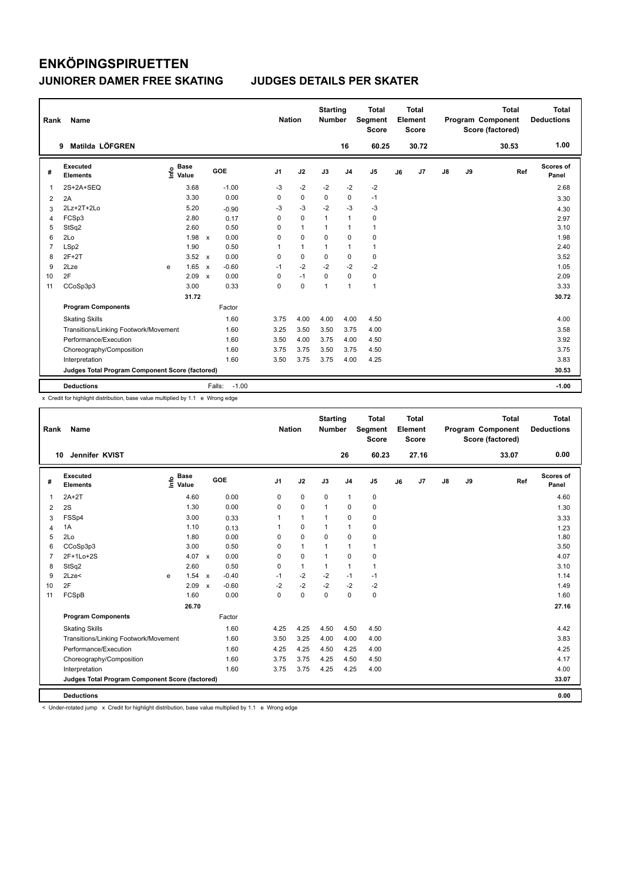| Rank           | Name                                            |      | <b>Nation</b>        |              | <b>Starting</b><br><b>Number</b> |                | <b>Total</b><br>Segment<br><b>Score</b> |          | <b>Total</b><br>Element<br><b>Score</b> |                |    | <b>Total</b><br>Program Component<br>Score (factored) | <b>Total</b><br><b>Deductions</b> |    |       |                    |
|----------------|-------------------------------------------------|------|----------------------|--------------|----------------------------------|----------------|-----------------------------------------|----------|-----------------------------------------|----------------|----|-------------------------------------------------------|-----------------------------------|----|-------|--------------------|
|                | Matilda LÖFGREN<br>9                            |      |                      |              |                                  |                |                                         |          | 16                                      | 60.25          |    | 30.72                                                 |                                   |    | 30.53 | 1.00               |
| #              | <b>Executed</b><br><b>Elements</b>              | ١nf٥ | <b>Base</b><br>Value |              | GOE                              | J <sub>1</sub> | J2                                      | J3       | J <sub>4</sub>                          | J <sub>5</sub> | J6 | J7                                                    | $\mathsf{J}8$                     | J9 | Ref   | Scores of<br>Panel |
| 1              | 2S+2A+SEQ                                       |      | 3.68                 |              | $-1.00$                          | $-3$           | $-2$                                    | $-2$     | $-2$                                    | $-2$           |    |                                                       |                                   |    |       | 2.68               |
| 2              | 2A                                              |      | 3.30                 |              | 0.00                             | 0              | $\mathbf 0$                             | 0        | 0                                       | $-1$           |    |                                                       |                                   |    |       | 3.30               |
| 3              | 2Lz+2T+2Lo                                      |      | 5.20                 |              | $-0.90$                          | $-3$           | $-3$                                    | $-2$     | $-3$                                    | $-3$           |    |                                                       |                                   |    |       | 4.30               |
| $\overline{4}$ | FCSp3                                           |      | 2.80                 |              | 0.17                             | 0              | $\mathbf 0$                             | 1        | $\mathbf{1}$                            | $\pmb{0}$      |    |                                                       |                                   |    |       | 2.97               |
| 5              | StSq2                                           |      | 2.60                 |              | 0.50                             | 0              | $\mathbf{1}$                            | 1        | $\overline{1}$                          | $\mathbf{1}$   |    |                                                       |                                   |    |       | 3.10               |
| 6              | 2Lo                                             |      | 1.98                 | $\mathbf{x}$ | 0.00                             | 0              | $\Omega$                                | $\Omega$ | $\Omega$                                | 0              |    |                                                       |                                   |    |       | 1.98               |
| $\overline{7}$ | LSp2                                            |      | 1.90                 |              | 0.50                             | 1              | $\mathbf{1}$                            | 1        | $\mathbf{1}$                            | $\mathbf{1}$   |    |                                                       |                                   |    |       | 2.40               |
| 8              | $2F+2T$                                         |      | 3.52                 | $\mathsf{x}$ | 0.00                             | 0              | $\mathbf 0$                             | $\Omega$ | 0                                       | 0              |    |                                                       |                                   |    |       | 3.52               |
| 9              | 2Lze                                            | e    | 1.65                 | $\mathbf x$  | $-0.60$                          | $-1$           | $-2$                                    | $-2$     | $-2$                                    | $-2$           |    |                                                       |                                   |    |       | 1.05               |
| 10             | 2F                                              |      | 2.09                 | $\mathbf x$  | 0.00                             | 0              | $-1$                                    | $\Omega$ | $\Omega$                                | $\mathbf 0$    |    |                                                       |                                   |    |       | 2.09               |
| 11             | CCoSp3p3                                        |      | 3.00                 |              | 0.33                             | 0              | $\mathbf 0$                             | 1        | $\overline{1}$                          | $\mathbf{1}$   |    |                                                       |                                   |    |       | 3.33               |
|                |                                                 |      | 31.72                |              |                                  |                |                                         |          |                                         |                |    |                                                       |                                   |    |       | 30.72              |
|                | <b>Program Components</b>                       |      |                      |              | Factor                           |                |                                         |          |                                         |                |    |                                                       |                                   |    |       |                    |
|                | <b>Skating Skills</b>                           |      |                      |              | 1.60                             | 3.75           | 4.00                                    | 4.00     | 4.00                                    | 4.50           |    |                                                       |                                   |    |       | 4.00               |
|                | Transitions/Linking Footwork/Movement           |      |                      |              | 1.60                             | 3.25           | 3.50                                    | 3.50     | 3.75                                    | 4.00           |    |                                                       |                                   |    |       | 3.58               |
|                | Performance/Execution                           |      |                      |              | 1.60                             | 3.50           | 4.00                                    | 3.75     | 4.00                                    | 4.50           |    |                                                       |                                   |    |       | 3.92               |
|                | Choreography/Composition                        |      |                      |              | 1.60                             | 3.75           | 3.75                                    | 3.50     | 3.75                                    | 4.50           |    |                                                       |                                   |    |       | 3.75               |
|                | Interpretation                                  |      |                      |              | 1.60                             | 3.50           | 3.75                                    | 3.75     | 4.00                                    | 4.25           |    |                                                       |                                   |    |       | 3.83               |
|                | Judges Total Program Component Score (factored) |      |                      |              |                                  |                |                                         |          |                                         |                |    |                                                       |                                   |    |       | 30.53              |
|                | <b>Deductions</b>                               |      |                      |              | $-1.00$<br>Falls:                |                |                                         |          |                                         |                |    |                                                       |                                   |    |       | $-1.00$            |

x Credit for highlight distribution, base value multiplied by 1.1 e Wrong edge

| Rank           | <b>Name</b>                                     |   |                                  |              |         | <b>Nation</b>  |              | <b>Starting</b><br><b>Number</b> |                | <b>Total</b><br>Segment<br>Score |    | <b>Total</b><br>Element<br><b>Score</b> |               |    | <b>Total</b><br>Program Component<br>Score (factored) |     | Total<br><b>Deductions</b> |
|----------------|-------------------------------------------------|---|----------------------------------|--------------|---------|----------------|--------------|----------------------------------|----------------|----------------------------------|----|-----------------------------------------|---------------|----|-------------------------------------------------------|-----|----------------------------|
| 10             | Jennifer KVIST                                  |   |                                  |              |         |                |              |                                  | 26             | 60.23                            |    | 27.16                                   |               |    | 33.07                                                 |     | 0.00                       |
| #              | Executed<br><b>Elements</b>                     |   | <b>Base</b><br>e Base<br>⊆ Value |              | GOE     | J <sub>1</sub> | J2           | J3                               | J <sub>4</sub> | J <sub>5</sub>                   | J6 | J <sub>7</sub>                          | $\mathsf{J}8$ | J9 |                                                       | Ref | <b>Scores of</b><br>Panel  |
| $\mathbf 1$    | $2A+2T$                                         |   | 4.60                             |              | 0.00    | 0              | $\pmb{0}$    | $\mathbf 0$                      | 1              | 0                                |    |                                         |               |    |                                                       |     | 4.60                       |
| 2              | 2S                                              |   | 1.30                             |              | 0.00    | 0              | $\mathbf 0$  | $\mathbf{1}$                     | 0              | $\mathbf 0$                      |    |                                         |               |    |                                                       |     | 1.30                       |
| 3              | FSSp4                                           |   | 3.00                             |              | 0.33    |                | $\mathbf{1}$ | $\mathbf 1$                      | $\pmb{0}$      | 0                                |    |                                         |               |    |                                                       |     | 3.33                       |
| $\overline{4}$ | 1A                                              |   | 1.10                             |              | 0.13    |                | $\pmb{0}$    | $\mathbf{1}$                     | $\mathbf{1}$   | 0                                |    |                                         |               |    |                                                       |     | 1.23                       |
| 5              | 2Lo                                             |   | 1.80                             |              | 0.00    | 0              | $\mathbf 0$  | $\mathbf 0$                      | $\mathbf 0$    | 0                                |    |                                         |               |    |                                                       |     | 1.80                       |
| 6              | CCoSp3p3                                        |   | 3.00                             |              | 0.50    | $\Omega$       | $\mathbf{1}$ | 1                                | $\mathbf{1}$   | 1                                |    |                                         |               |    |                                                       |     | 3.50                       |
| $\overline{7}$ | 2F+1Lo+2S                                       |   | 4.07 $\times$                    |              | 0.00    | 0              | $\pmb{0}$    | $\mathbf{1}$                     | $\pmb{0}$      | 0                                |    |                                         |               |    |                                                       |     | 4.07                       |
| 8              | StSq2                                           |   | 2.60                             |              | 0.50    | 0              | $\mathbf{1}$ | $\mathbf{1}$                     | $\mathbf{1}$   | 1                                |    |                                         |               |    |                                                       |     | 3.10                       |
| 9              | 2Lze<                                           | e | 1.54 x                           |              | $-0.40$ | $-1$           | $-2$         | $-2$                             | $-1$           | $-1$                             |    |                                         |               |    |                                                       |     | 1.14                       |
| 10             | 2F                                              |   | 2.09                             | $\mathsf{x}$ | $-0.60$ | $-2$           | $-2$         | $-2$                             | $-2$           | $-2$                             |    |                                         |               |    |                                                       |     | 1.49                       |
| 11             | FCSpB                                           |   | 1.60                             |              | 0.00    | 0              | $\pmb{0}$    | $\mathbf 0$                      | $\pmb{0}$      | 0                                |    |                                         |               |    |                                                       |     | 1.60                       |
|                |                                                 |   | 26.70                            |              |         |                |              |                                  |                |                                  |    |                                         |               |    |                                                       |     | 27.16                      |
|                | <b>Program Components</b>                       |   |                                  |              | Factor  |                |              |                                  |                |                                  |    |                                         |               |    |                                                       |     |                            |
|                | <b>Skating Skills</b>                           |   |                                  |              | 1.60    | 4.25           | 4.25         | 4.50                             | 4.50           | 4.50                             |    |                                         |               |    |                                                       |     | 4.42                       |
|                | Transitions/Linking Footwork/Movement           |   |                                  |              | 1.60    | 3.50           | 3.25         | 4.00                             | 4.00           | 4.00                             |    |                                         |               |    |                                                       |     | 3.83                       |
|                | Performance/Execution                           |   |                                  |              | 1.60    | 4.25           | 4.25         | 4.50                             | 4.25           | 4.00                             |    |                                         |               |    |                                                       |     | 4.25                       |
|                | Choreography/Composition                        |   |                                  |              | 1.60    | 3.75           | 3.75         | 4.25                             | 4.50           | 4.50                             |    |                                         |               |    |                                                       |     | 4.17                       |
|                | Interpretation                                  |   |                                  |              | 1.60    | 3.75           | 3.75         | 4.25                             | 4.25           | 4.00                             |    |                                         |               |    |                                                       |     | 4.00                       |
|                | Judges Total Program Component Score (factored) |   |                                  |              |         |                |              |                                  |                |                                  |    |                                         |               |    |                                                       |     | 33.07                      |
|                | <b>Deductions</b>                               |   |                                  |              |         |                |              |                                  |                |                                  |    |                                         |               |    |                                                       |     | 0.00                       |

< Under-rotated jump x Credit for highlight distribution, base value multiplied by 1.1 e Wrong edge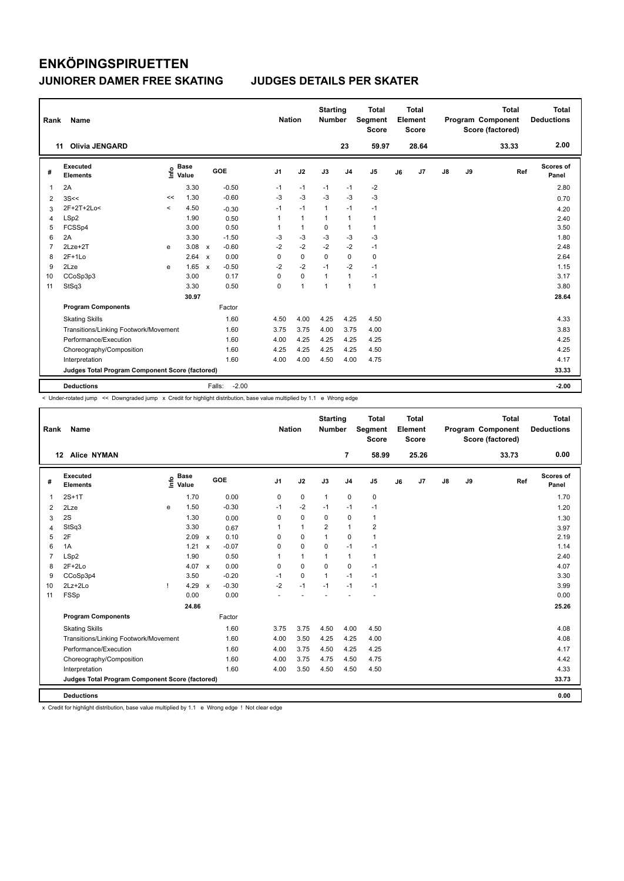| Rank           | <b>Name</b>                                     |         |                      |              |                   | <b>Nation</b>  |              | <b>Starting</b><br>Number |                | <b>Total</b><br><b>Segment</b><br><b>Score</b> |    | Total<br>Element<br>Score |    |    | <b>Total</b><br>Program Component<br>Score (factored) | Total<br><b>Deductions</b> |
|----------------|-------------------------------------------------|---------|----------------------|--------------|-------------------|----------------|--------------|---------------------------|----------------|------------------------------------------------|----|---------------------------|----|----|-------------------------------------------------------|----------------------------|
|                | <b>Olivia JENGARD</b><br>11                     |         |                      |              |                   |                |              |                           | 23             | 59.97                                          |    | 28.64                     |    |    | 33.33                                                 | 2.00                       |
| #              | Executed<br><b>Elements</b>                     | ۴۵      | <b>Base</b><br>Value |              | GOE               | J <sub>1</sub> | J2           | J3                        | J <sub>4</sub> | J <sub>5</sub>                                 | J6 | J7                        | J8 | J9 | Ref                                                   | Scores of<br>Panel         |
| $\mathbf{1}$   | 2A                                              |         | 3.30                 |              | $-0.50$           | $-1$           | $-1$         | $-1$                      | $-1$           | $-2$                                           |    |                           |    |    |                                                       | 2.80                       |
| 2              | 3S<<                                            | <<      | 1.30                 |              | $-0.60$           | $-3$           | $-3$         | $-3$                      | $-3$           | $-3$                                           |    |                           |    |    |                                                       | 0.70                       |
| 3              | 2F+2T+2Lo<                                      | $\prec$ | 4.50                 |              | $-0.30$           | $-1$           | $-1$         | $\mathbf{1}$              | $-1$           | $-1$                                           |    |                           |    |    |                                                       | 4.20                       |
| 4              | LSp2                                            |         | 1.90                 |              | 0.50              | $\mathbf{1}$   | $\mathbf{1}$ | $\mathbf{1}$              | $\mathbf{1}$   | $\mathbf{1}$                                   |    |                           |    |    |                                                       | 2.40                       |
| 5              | FCSSp4                                          |         | 3.00                 |              | 0.50              | 1              | $\mathbf{1}$ | 0                         | $\mathbf{1}$   | $\mathbf{1}$                                   |    |                           |    |    |                                                       | 3.50                       |
| 6              | 2A                                              |         | 3.30                 |              | $-1.50$           | $-3$           | $-3$         | $-3$                      | $-3$           | $-3$                                           |    |                           |    |    |                                                       | 1.80                       |
| $\overline{7}$ | $2$ Lze $+2$ T                                  | e       | 3.08                 | $\mathsf{x}$ | $-0.60$           | $-2$           | $-2$         | $-2$                      | $-2$           | $-1$                                           |    |                           |    |    |                                                       | 2.48                       |
| 8              | $2F+1Lo$                                        |         | 2.64                 | $\mathbf{x}$ | 0.00              | $\Omega$       | $\Omega$     | $\Omega$                  | $\Omega$       | 0                                              |    |                           |    |    |                                                       | 2.64                       |
| 9              | 2Lze                                            | e       | 1.65                 | $\mathsf{x}$ | $-0.50$           | $-2$           | $-2$         | $-1$                      | $-2$           | $-1$                                           |    |                           |    |    |                                                       | 1.15                       |
| 10             | CCoSp3p3                                        |         | 3.00                 |              | 0.17              | 0              | 0            | 1                         | $\mathbf{1}$   | $-1$                                           |    |                           |    |    |                                                       | 3.17                       |
| 11             | StSq3                                           |         | 3.30                 |              | 0.50              | 0              | $\mathbf{1}$ | $\mathbf{1}$              | $\mathbf{1}$   | $\mathbf{1}$                                   |    |                           |    |    |                                                       | 3.80                       |
|                |                                                 |         | 30.97                |              |                   |                |              |                           |                |                                                |    |                           |    |    |                                                       | 28.64                      |
|                | <b>Program Components</b>                       |         |                      |              | Factor            |                |              |                           |                |                                                |    |                           |    |    |                                                       |                            |
|                | <b>Skating Skills</b>                           |         |                      |              | 1.60              | 4.50           | 4.00         | 4.25                      | 4.25           | 4.50                                           |    |                           |    |    |                                                       | 4.33                       |
|                | Transitions/Linking Footwork/Movement           |         |                      |              | 1.60              | 3.75           | 3.75         | 4.00                      | 3.75           | 4.00                                           |    |                           |    |    |                                                       | 3.83                       |
|                | Performance/Execution                           |         |                      |              | 1.60              | 4.00           | 4.25         | 4.25                      | 4.25           | 4.25                                           |    |                           |    |    |                                                       | 4.25                       |
|                | Choreography/Composition                        |         |                      |              | 1.60              | 4.25           | 4.25         | 4.25                      | 4.25           | 4.50                                           |    |                           |    |    |                                                       | 4.25                       |
|                | Interpretation                                  |         |                      |              | 1.60              | 4.00           | 4.00         | 4.50                      | 4.00           | 4.75                                           |    |                           |    |    |                                                       | 4.17                       |
|                | Judges Total Program Component Score (factored) |         |                      |              |                   |                |              |                           |                |                                                |    |                           |    |    |                                                       | 33.33                      |
|                | <b>Deductions</b>                               |         |                      |              | $-2.00$<br>Falls: |                |              |                           |                |                                                |    |                           |    |    |                                                       | $-2.00$                    |

< Under-rotated jump << Downgraded jump x Credit for highlight distribution, base value multiplied by 1.1 e Wrong edge

| Rank           | Name                                            |      |                      |                           |         | <b>Nation</b>  |              | <b>Starting</b><br><b>Number</b> |                | <b>Total</b><br><b>Segment</b><br><b>Score</b> |    | <b>Total</b><br>Element<br><b>Score</b> |               |    | <b>Total</b><br>Program Component<br>Score (factored) | <b>Total</b><br><b>Deductions</b> |
|----------------|-------------------------------------------------|------|----------------------|---------------------------|---------|----------------|--------------|----------------------------------|----------------|------------------------------------------------|----|-----------------------------------------|---------------|----|-------------------------------------------------------|-----------------------------------|
|                | 12 Alice NYMAN                                  |      |                      |                           |         |                |              |                                  | $\overline{7}$ | 58.99                                          |    | 25.26                                   |               |    | 33.73                                                 | 0.00                              |
| #              | Executed<br><b>Elements</b>                     | lnfo | <b>Base</b><br>Value |                           | GOE     | J <sub>1</sub> | J2           | J3                               | J <sub>4</sub> | J <sub>5</sub>                                 | J6 | J7                                      | $\mathsf{J}8$ | J9 | Ref                                                   | Scores of<br>Panel                |
| 1              | $2S+1T$                                         |      | 1.70                 |                           | 0.00    | 0              | $\mathbf 0$  | $\mathbf{1}$                     | $\mathbf 0$    | 0                                              |    |                                         |               |    |                                                       | 1.70                              |
| 2              | 2Lze                                            | e    | 1.50                 |                           | $-0.30$ | $-1$           | $-2$         | $-1$                             | $-1$           | $-1$                                           |    |                                         |               |    |                                                       | 1.20                              |
| 3              | 2S                                              |      | 1.30                 |                           | 0.00    | 0              | $\mathbf 0$  | $\mathbf 0$                      | $\mathbf 0$    | $\mathbf{1}$                                   |    |                                         |               |    |                                                       | 1.30                              |
| 4              | StSq3                                           |      | 3.30                 |                           | 0.67    | 1              | $\mathbf{1}$ | $\overline{2}$                   | $\mathbf{1}$   | $\overline{2}$                                 |    |                                         |               |    |                                                       | 3.97                              |
| 5              | 2F                                              |      | 2.09                 | $\boldsymbol{\mathsf{x}}$ | 0.10    | 0              | $\mathbf 0$  | 1                                | $\mathbf 0$    | $\mathbf{1}$                                   |    |                                         |               |    |                                                       | 2.19                              |
| 6              | 1A                                              |      | 1.21                 | $\mathbf{x}$              | $-0.07$ | 0              | $\mathbf 0$  | $\Omega$                         | $-1$           | $-1$                                           |    |                                         |               |    |                                                       | 1.14                              |
| $\overline{7}$ | LSp2                                            |      | 1.90                 |                           | 0.50    | 1              | $\mathbf{1}$ | 1                                | $\mathbf{1}$   | $\mathbf{1}$                                   |    |                                         |               |    |                                                       | 2.40                              |
| 8              | $2F+2Lo$                                        |      | 4.07 x               |                           | 0.00    | 0              | $\mathbf 0$  | $\Omega$                         | $\pmb{0}$      | $-1$                                           |    |                                         |               |    |                                                       | 4.07                              |
| 9              | CCoSp3p4                                        |      | 3.50                 |                           | $-0.20$ | $-1$           | $\mathbf 0$  | $\mathbf{1}$                     | $-1$           | $-1$                                           |    |                                         |               |    |                                                       | 3.30                              |
| 10             | $2Lz+2Lo$                                       |      | 4.29                 | $\mathbf{x}$              | $-0.30$ | $-2$           | $-1$         | $-1$                             | $-1$           | $-1$                                           |    |                                         |               |    |                                                       | 3.99                              |
| 11             | <b>FSSp</b>                                     |      | 0.00                 |                           | 0.00    |                |              |                                  |                |                                                |    |                                         |               |    |                                                       | 0.00                              |
|                |                                                 |      | 24.86                |                           |         |                |              |                                  |                |                                                |    |                                         |               |    |                                                       | 25.26                             |
|                | <b>Program Components</b>                       |      |                      |                           | Factor  |                |              |                                  |                |                                                |    |                                         |               |    |                                                       |                                   |
|                | <b>Skating Skills</b>                           |      |                      |                           | 1.60    | 3.75           | 3.75         | 4.50                             | 4.00           | 4.50                                           |    |                                         |               |    |                                                       | 4.08                              |
|                | Transitions/Linking Footwork/Movement           |      |                      |                           | 1.60    | 4.00           | 3.50         | 4.25                             | 4.25           | 4.00                                           |    |                                         |               |    |                                                       | 4.08                              |
|                | Performance/Execution                           |      |                      |                           | 1.60    | 4.00           | 3.75         | 4.50                             | 4.25           | 4.25                                           |    |                                         |               |    |                                                       | 4.17                              |
|                | Choreography/Composition                        |      |                      |                           | 1.60    | 4.00           | 3.75         | 4.75                             | 4.50           | 4.75                                           |    |                                         |               |    |                                                       | 4.42                              |
|                | Interpretation                                  |      |                      |                           | 1.60    | 4.00           | 3.50         | 4.50                             | 4.50           | 4.50                                           |    |                                         |               |    |                                                       | 4.33                              |
|                | Judges Total Program Component Score (factored) |      |                      |                           |         |                |              |                                  |                |                                                |    |                                         |               |    |                                                       | 33.73                             |
|                | <b>Deductions</b>                               |      |                      |                           |         |                |              |                                  |                |                                                |    |                                         |               |    |                                                       | 0.00                              |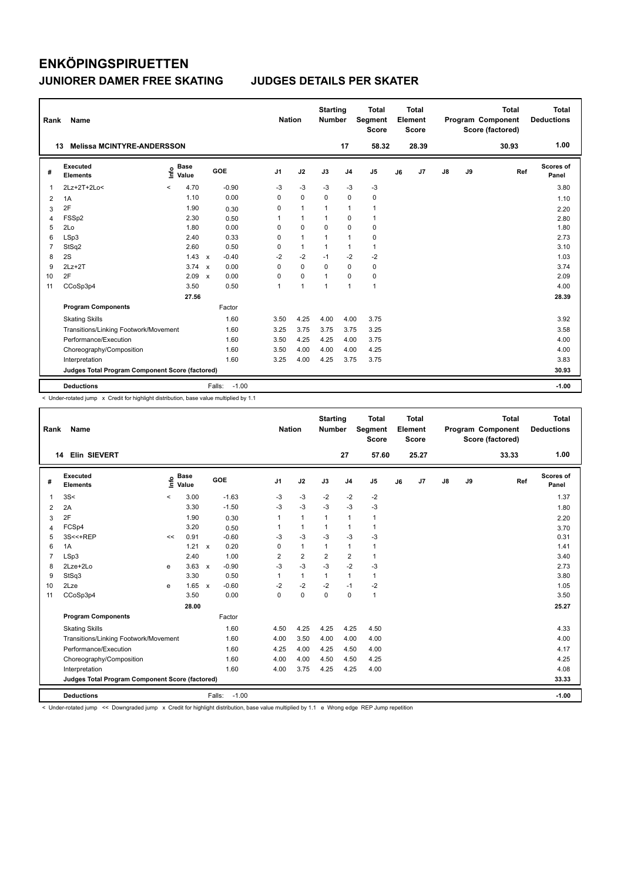| Rank           | Name                                            |                              |              |                   | <b>Nation</b>  |                | <b>Starting</b><br><b>Number</b> |                | Total<br>Segment<br><b>Score</b> |    | <b>Total</b><br>Element<br><b>Score</b> |               |    | <b>Total</b><br>Program Component<br>Score (factored) | <b>Total</b><br><b>Deductions</b> |
|----------------|-------------------------------------------------|------------------------------|--------------|-------------------|----------------|----------------|----------------------------------|----------------|----------------------------------|----|-----------------------------------------|---------------|----|-------------------------------------------------------|-----------------------------------|
| 13             | <b>Melissa MCINTYRE-ANDERSSON</b>               |                              |              |                   |                |                |                                  | 17             | 58.32                            |    | 28.39                                   |               |    | 30.93                                                 | 1.00                              |
| #              | Executed<br><b>Elements</b>                     | <b>Base</b><br>١nf٥<br>Value |              | GOE               | J <sub>1</sub> | J2             | J3                               | J <sub>4</sub> | J <sub>5</sub>                   | J6 | J7                                      | $\mathsf{J}8$ | J9 | Ref                                                   | Scores of<br>Panel                |
| 1              | 2Lz+2T+2Lo<                                     | 4.70<br>$\prec$              |              | $-0.90$           | -3             | -3             | -3                               | -3             | -3                               |    |                                         |               |    |                                                       | 3.80                              |
| 2              | 1A                                              | 1.10                         |              | 0.00              | 0              | $\mathbf 0$    | $\mathbf 0$                      | $\mathbf 0$    | $\mathbf 0$                      |    |                                         |               |    |                                                       | 1.10                              |
| 3              | 2F                                              | 1.90                         |              | 0.30              | 0              | $\mathbf{1}$   | $\overline{1}$                   | $\mathbf{1}$   | $\mathbf{1}$                     |    |                                         |               |    |                                                       | 2.20                              |
| 4              | FSSp2                                           | 2.30                         |              | 0.50              | 1              | $\mathbf{1}$   | $\overline{1}$                   | $\mathbf 0$    | $\mathbf{1}$                     |    |                                         |               |    |                                                       | 2.80                              |
| 5              | 2Lo                                             | 1.80                         |              | 0.00              | 0              | $\mathbf 0$    | $\mathbf 0$                      | $\mathbf 0$    | 0                                |    |                                         |               |    |                                                       | 1.80                              |
| 6              | LSp3                                            | 2.40                         |              | 0.33              | 0              | $\overline{1}$ | $\overline{1}$                   | $\mathbf{1}$   | 0                                |    |                                         |               |    |                                                       | 2.73                              |
| $\overline{7}$ | StSq2                                           | 2.60                         |              | 0.50              | 0              | $\mathbf{1}$   | $\mathbf{1}$                     | $\mathbf{1}$   | $\mathbf{1}$                     |    |                                         |               |    |                                                       | 3.10                              |
| 8              | 2S                                              | 1.43                         | $\mathsf{x}$ | $-0.40$           | $-2$           | $-2$           | $-1$                             | $-2$           | $-2$                             |    |                                         |               |    |                                                       | 1.03                              |
| 9              | $2Lz+2T$                                        | 3.74                         | $\mathbf{x}$ | 0.00              | 0              | $\Omega$       | $\Omega$                         | $\Omega$       | 0                                |    |                                         |               |    |                                                       | 3.74                              |
| 10             | 2F                                              | 2.09                         | $\mathbf{x}$ | 0.00              | 0              | 0              | $\overline{1}$                   | $\Omega$       | 0                                |    |                                         |               |    |                                                       | 2.09                              |
| 11             | CCoSp3p4                                        | 3.50                         |              | 0.50              | 1              | $\overline{1}$ | $\overline{1}$                   | $\mathbf{1}$   | $\mathbf{1}$                     |    |                                         |               |    |                                                       | 4.00                              |
|                |                                                 | 27.56                        |              |                   |                |                |                                  |                |                                  |    |                                         |               |    |                                                       | 28.39                             |
|                | <b>Program Components</b>                       |                              |              | Factor            |                |                |                                  |                |                                  |    |                                         |               |    |                                                       |                                   |
|                | <b>Skating Skills</b>                           |                              |              | 1.60              | 3.50           | 4.25           | 4.00                             | 4.00           | 3.75                             |    |                                         |               |    |                                                       | 3.92                              |
|                | Transitions/Linking Footwork/Movement           |                              |              | 1.60              | 3.25           | 3.75           | 3.75                             | 3.75           | 3.25                             |    |                                         |               |    |                                                       | 3.58                              |
|                | Performance/Execution                           |                              |              | 1.60              | 3.50           | 4.25           | 4.25                             | 4.00           | 3.75                             |    |                                         |               |    |                                                       | 4.00                              |
|                | Choreography/Composition                        |                              |              | 1.60              | 3.50           | 4.00           | 4.00                             | 4.00           | 4.25                             |    |                                         |               |    |                                                       | 4.00                              |
|                | Interpretation                                  |                              |              | 1.60              | 3.25           | 4.00           | 4.25                             | 3.75           | 3.75                             |    |                                         |               |    |                                                       | 3.83                              |
|                | Judges Total Program Component Score (factored) |                              |              |                   |                |                |                                  |                |                                  |    |                                         |               |    |                                                       | 30.93                             |
|                | <b>Deductions</b>                               |                              |              | $-1.00$<br>Falls: |                |                |                                  |                |                                  |    |                                         |               |    |                                                       | $-1.00$                           |

< Under-rotated jump x Credit for highlight distribution, base value multiplied by 1.1

| Rank | Name                                            |         |                      |              |                   | <b>Nation</b>  |                | <b>Starting</b><br><b>Number</b> |                | <b>Total</b><br>Segment<br><b>Score</b> |    | <b>Total</b><br>Element<br><b>Score</b> |    |    | <b>Total</b><br>Program Component<br>Score (factored) | <b>Total</b><br><b>Deductions</b> |
|------|-------------------------------------------------|---------|----------------------|--------------|-------------------|----------------|----------------|----------------------------------|----------------|-----------------------------------------|----|-----------------------------------------|----|----|-------------------------------------------------------|-----------------------------------|
| 14   | <b>Elin SIEVERT</b>                             |         |                      |              |                   |                |                |                                  | 27             | 57.60                                   |    | 25.27                                   |    |    | 33.33                                                 | 1.00                              |
| #    | Executed<br><b>Elements</b>                     | ۴٥      | <b>Base</b><br>Value |              | <b>GOE</b>        | J <sub>1</sub> | J2             | J3                               | J <sub>4</sub> | J <sub>5</sub>                          | J6 | J <sub>7</sub>                          | J8 | J9 | Ref                                                   | Scores of<br>Panel                |
| 1    | 3S<                                             | $\prec$ | 3.00                 |              | $-1.63$           | $-3$           | $-3$           | $-2$                             | $-2$           | $-2$                                    |    |                                         |    |    |                                                       | 1.37                              |
| 2    | 2A                                              |         | 3.30                 |              | $-1.50$           | $-3$           | $-3$           | $-3$                             | $-3$           | $-3$                                    |    |                                         |    |    |                                                       | 1.80                              |
| 3    | 2F                                              |         | 1.90                 |              | 0.30              | 1              | $\mathbf{1}$   | $\mathbf{1}$                     | $\mathbf{1}$   | 1                                       |    |                                         |    |    |                                                       | 2.20                              |
| 4    | FCSp4                                           |         | 3.20                 |              | 0.50              | 1              | $\mathbf{1}$   | $\mathbf{1}$                     | $\mathbf{1}$   | 1                                       |    |                                         |    |    |                                                       | 3.70                              |
| 5    | 3S<<+REP                                        | <<      | 0.91                 |              | $-0.60$           | $-3$           | $-3$           | $-3$                             | $-3$           | $-3$                                    |    |                                         |    |    |                                                       | 0.31                              |
| 6    | 1A                                              |         | 1.21                 | $\mathbf{x}$ | 0.20              | $\Omega$       | $\mathbf{1}$   | 1                                | $\mathbf{1}$   | 1                                       |    |                                         |    |    |                                                       | 1.41                              |
| 7    | LSp3                                            |         | 2.40                 |              | 1.00              | $\overline{2}$ | $\overline{2}$ | $\overline{2}$                   | $\overline{2}$ | $\mathbf{1}$                            |    |                                         |    |    |                                                       | 3.40                              |
| 8    | 2Lze+2Lo                                        | e       | $3.63 \times$        |              | $-0.90$           | $-3$           | $-3$           | $-3$                             | $-2$           | $-3$                                    |    |                                         |    |    |                                                       | 2.73                              |
| 9    | StSq3                                           |         | 3.30                 |              | 0.50              | 1              | $\mathbf{1}$   | 1                                | $\mathbf{1}$   | 1                                       |    |                                         |    |    |                                                       | 3.80                              |
| 10   | 2Lze                                            | e       | 1.65                 | $\mathsf{x}$ | $-0.60$           | $-2$           | $-2$           | $-2$                             | $-1$           | $-2$                                    |    |                                         |    |    |                                                       | 1.05                              |
| 11   | CCoSp3p4                                        |         | 3.50                 |              | 0.00              | 0              | 0              | $\mathbf 0$                      | $\mathbf 0$    | $\mathbf{1}$                            |    |                                         |    |    |                                                       | 3.50                              |
|      |                                                 |         | 28.00                |              |                   |                |                |                                  |                |                                         |    |                                         |    |    |                                                       | 25.27                             |
|      | <b>Program Components</b>                       |         |                      |              | Factor            |                |                |                                  |                |                                         |    |                                         |    |    |                                                       |                                   |
|      | <b>Skating Skills</b>                           |         |                      |              | 1.60              | 4.50           | 4.25           | 4.25                             | 4.25           | 4.50                                    |    |                                         |    |    |                                                       | 4.33                              |
|      | Transitions/Linking Footwork/Movement           |         |                      |              | 1.60              | 4.00           | 3.50           | 4.00                             | 4.00           | 4.00                                    |    |                                         |    |    |                                                       | 4.00                              |
|      | Performance/Execution                           |         |                      |              | 1.60              | 4.25           | 4.00           | 4.25                             | 4.50           | 4.00                                    |    |                                         |    |    |                                                       | 4.17                              |
|      | Choreography/Composition                        |         |                      |              | 1.60              | 4.00           | 4.00           | 4.50                             | 4.50           | 4.25                                    |    |                                         |    |    |                                                       | 4.25                              |
|      | Interpretation                                  |         |                      |              | 1.60              | 4.00           | 3.75           | 4.25                             | 4.25           | 4.00                                    |    |                                         |    |    |                                                       | 4.08                              |
|      | Judges Total Program Component Score (factored) |         |                      |              |                   |                |                |                                  |                |                                         |    |                                         |    |    |                                                       | 33.33                             |
|      | <b>Deductions</b>                               |         |                      |              | $-1.00$<br>Falls: |                |                |                                  |                |                                         |    |                                         |    |    |                                                       | $-1.00$                           |

< Under-rotated jump << Downgraded jump x Credit for highlight distribution, base value multiplied by 1.1 e Wrong edge REP Jump repetition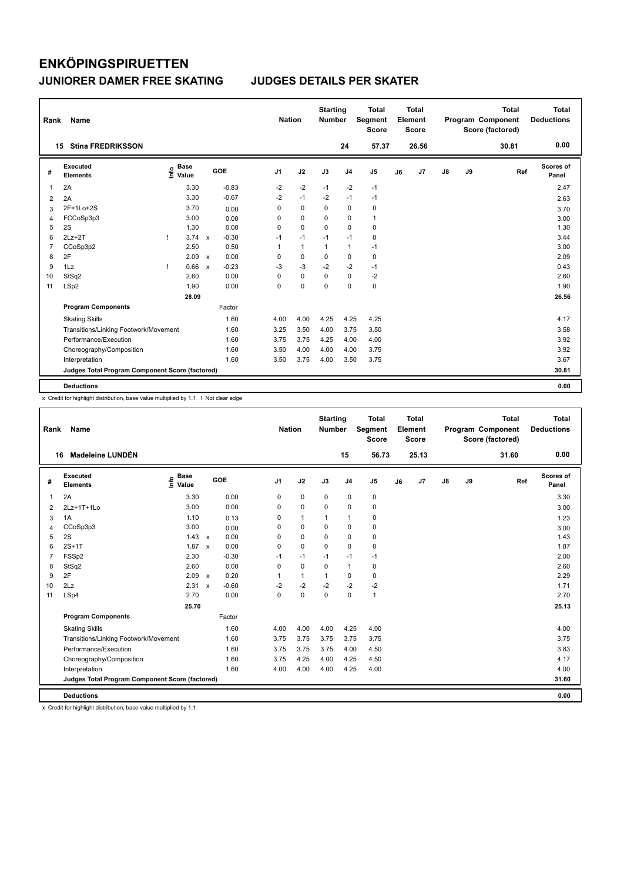| Rank           | Name                                            |      |                      |                           |         | <b>Nation</b>  |              | <b>Starting</b><br><b>Number</b> |                | Total<br>Segment<br><b>Score</b> |    | <b>Total</b><br>Element<br><b>Score</b> |               |    | <b>Total</b><br>Program Component<br>Score (factored) | <b>Total</b><br><b>Deductions</b> |
|----------------|-------------------------------------------------|------|----------------------|---------------------------|---------|----------------|--------------|----------------------------------|----------------|----------------------------------|----|-----------------------------------------|---------------|----|-------------------------------------------------------|-----------------------------------|
|                | <b>Stina FREDRIKSSON</b><br>15                  |      |                      |                           |         |                |              |                                  | 24             | 57.37                            |    | 26.56                                   |               |    | 30.81                                                 | 0.00                              |
| #              | Executed<br><b>Elements</b>                     | ١nfo | <b>Base</b><br>Value |                           | GOE     | J <sub>1</sub> | J2           | J3                               | J <sub>4</sub> | J <sub>5</sub>                   | J6 | J7                                      | $\mathsf{J}8$ | J9 | Ref                                                   | Scores of<br>Panel                |
| 1              | 2A                                              |      | 3.30                 |                           | $-0.83$ | $-2$           | $-2$         | $-1$                             | $-2$           | $-1$                             |    |                                         |               |    |                                                       | 2.47                              |
| 2              | 2A                                              |      | 3.30                 |                           | $-0.67$ | $-2$           | $-1$         | $-2$                             | $-1$           | $-1$                             |    |                                         |               |    |                                                       | 2.63                              |
| 3              | 2F+1Lo+2S                                       |      | 3.70                 |                           | 0.00    | 0              | 0            | 0                                | 0              | 0                                |    |                                         |               |    |                                                       | 3.70                              |
| 4              | FCCoSp3p3                                       |      | 3.00                 |                           | 0.00    | 0              | $\mathbf 0$  | $\Omega$                         | 0              | $\mathbf{1}$                     |    |                                         |               |    |                                                       | 3.00                              |
| 5              | 2S                                              |      | 1.30                 |                           | 0.00    | 0              | $\mathbf 0$  | $\Omega$                         | $\mathbf 0$    | 0                                |    |                                         |               |    |                                                       | 1.30                              |
| 6              | $2Lz+2T$                                        |      | 3.74                 | $\boldsymbol{\mathsf{x}}$ | $-0.30$ | $-1$           | $-1$         | $-1$                             | $-1$           | 0                                |    |                                         |               |    |                                                       | 3.44                              |
| $\overline{7}$ | CCoSp3p2                                        |      | 2.50                 |                           | 0.50    | 1              | $\mathbf{1}$ | $\mathbf{1}$                     | $\mathbf{1}$   | $-1$                             |    |                                         |               |    |                                                       | 3.00                              |
| 8              | 2F                                              |      | 2.09                 | $\mathbf{x}$              | 0.00    | 0              | $\mathbf 0$  | 0                                | $\mathbf 0$    | 0                                |    |                                         |               |    |                                                       | 2.09                              |
| 9              | 1Lz                                             |      | 0.66                 | $\mathsf{x}$              | $-0.23$ | -3             | $-3$         | $-2$                             | $-2$           | $-1$                             |    |                                         |               |    |                                                       | 0.43                              |
| 10             | StSq2                                           |      | 2.60                 |                           | 0.00    | 0              | $\mathbf 0$  | $\Omega$                         | $\mathbf 0$    | -2                               |    |                                         |               |    |                                                       | 2.60                              |
| 11             | LSp2                                            |      | 1.90                 |                           | 0.00    | $\Omega$       | $\mathbf 0$  | $\Omega$                         | $\mathbf 0$    | 0                                |    |                                         |               |    |                                                       | 1.90                              |
|                |                                                 |      | 28.09                |                           |         |                |              |                                  |                |                                  |    |                                         |               |    |                                                       | 26.56                             |
|                | <b>Program Components</b>                       |      |                      |                           | Factor  |                |              |                                  |                |                                  |    |                                         |               |    |                                                       |                                   |
|                | <b>Skating Skills</b>                           |      |                      |                           | 1.60    | 4.00           | 4.00         | 4.25                             | 4.25           | 4.25                             |    |                                         |               |    |                                                       | 4.17                              |
|                | Transitions/Linking Footwork/Movement           |      |                      |                           | 1.60    | 3.25           | 3.50         | 4.00                             | 3.75           | 3.50                             |    |                                         |               |    |                                                       | 3.58                              |
|                | Performance/Execution                           |      |                      |                           | 1.60    | 3.75           | 3.75         | 4.25                             | 4.00           | 4.00                             |    |                                         |               |    |                                                       | 3.92                              |
|                | Choreography/Composition                        |      |                      |                           | 1.60    | 3.50           | 4.00         | 4.00                             | 4.00           | 3.75                             |    |                                         |               |    |                                                       | 3.92                              |
|                | Interpretation                                  |      |                      |                           | 1.60    | 3.50           | 3.75         | 4.00                             | 3.50           | 3.75                             |    |                                         |               |    |                                                       | 3.67                              |
|                | Judges Total Program Component Score (factored) |      |                      |                           |         |                |              |                                  |                |                                  |    |                                         |               |    |                                                       | 30.81                             |
|                | <b>Deductions</b>                               |      |                      |                           |         |                |              |                                  |                |                                  |    |                                         |               |    |                                                       | 0.00                              |

x Credit for highlight distribution, base value multiplied by 1.1 ! Not clear edge

| Rank | Name                                            |                                  |                         |                | <b>Nation</b> | <b>Starting</b><br><b>Number</b> |                | <b>Total</b><br>Segment<br><b>Score</b> |    | <b>Total</b><br>Element<br><b>Score</b> |               |    | <b>Total</b><br>Program Component<br>Score (factored) | <b>Total</b><br><b>Deductions</b> |
|------|-------------------------------------------------|----------------------------------|-------------------------|----------------|---------------|----------------------------------|----------------|-----------------------------------------|----|-----------------------------------------|---------------|----|-------------------------------------------------------|-----------------------------------|
| 16   | Madeleine LUNDÉN                                |                                  |                         |                |               |                                  | 15             | 56.73                                   |    | 25.13                                   |               |    | 31.60                                                 | 0.00                              |
| #    | Executed<br><b>Elements</b>                     | <b>Base</b><br>e Base<br>E Value | <b>GOE</b>              | J <sub>1</sub> | J2            | J3                               | J <sub>4</sub> | J5                                      | J6 | J7                                      | $\mathsf{J}8$ | J9 | Ref                                                   | Scores of<br>Panel                |
| 1    | 2A                                              | 3.30                             | 0.00                    | 0              | $\mathbf 0$   | $\mathbf 0$                      | 0              | 0                                       |    |                                         |               |    |                                                       | 3.30                              |
| 2    | 2Lz+1T+1Lo                                      | 3.00                             | 0.00                    | $\Omega$       | $\mathbf 0$   | $\Omega$                         | 0              | 0                                       |    |                                         |               |    |                                                       | 3.00                              |
| 3    | 1A                                              | 1.10                             | 0.13                    | 0              | $\mathbf{1}$  | 1                                | 1              | 0                                       |    |                                         |               |    |                                                       | 1.23                              |
| 4    | CCoSp3p3                                        | 3.00                             | 0.00                    | 0              | 0             | 0                                | 0              | 0                                       |    |                                         |               |    |                                                       | 3.00                              |
| 5    | 2S                                              | $1.43 \times$                    | 0.00                    | $\Omega$       | $\mathbf 0$   | 0                                | 0              | 0                                       |    |                                         |               |    |                                                       | 1.43                              |
| 6    | $2S+1T$                                         | $1.87 \times$                    | 0.00                    | 0              | $\mathbf 0$   | $\mathbf 0$                      | 0              | 0                                       |    |                                         |               |    |                                                       | 1.87                              |
| 7    | FSSp2                                           | 2.30                             | $-0.30$                 | $-1$           | $-1$          | $-1$                             | $-1$           | $-1$                                    |    |                                         |               |    |                                                       | 2.00                              |
| 8    | StSq2                                           | 2.60                             | 0.00                    | 0              | $\mathbf 0$   | 0                                | $\mathbf{1}$   | 0                                       |    |                                         |               |    |                                                       | 2.60                              |
| 9    | 2F                                              | 2.09                             | 0.20<br>$\mathsf{x}$    | 1              | $\mathbf{1}$  | 1                                | $\Omega$       | 0                                       |    |                                         |               |    |                                                       | 2.29                              |
| 10   | 2Lz                                             | 2.31                             | $-0.60$<br>$\mathbf{x}$ | $-2$           | $-2$          | $-2$                             | $-2$           | $-2$                                    |    |                                         |               |    |                                                       | 1.71                              |
| 11   | LSp4                                            | 2.70                             | 0.00                    | $\Omega$       | $\mathbf 0$   | $\mathbf 0$                      | 0              | $\mathbf{1}$                            |    |                                         |               |    |                                                       | 2.70                              |
|      |                                                 | 25.70                            |                         |                |               |                                  |                |                                         |    |                                         |               |    |                                                       | 25.13                             |
|      | <b>Program Components</b>                       |                                  | Factor                  |                |               |                                  |                |                                         |    |                                         |               |    |                                                       |                                   |
|      | <b>Skating Skills</b>                           |                                  | 1.60                    | 4.00           | 4.00          | 4.00                             | 4.25           | 4.00                                    |    |                                         |               |    |                                                       | 4.00                              |
|      | Transitions/Linking Footwork/Movement           |                                  | 1.60                    | 3.75           | 3.75          | 3.75                             | 3.75           | 3.75                                    |    |                                         |               |    |                                                       | 3.75                              |
|      | Performance/Execution                           |                                  | 1.60                    | 3.75           | 3.75          | 3.75                             | 4.00           | 4.50                                    |    |                                         |               |    |                                                       | 3.83                              |
|      | Choreography/Composition                        |                                  | 1.60                    | 3.75           | 4.25          | 4.00                             | 4.25           | 4.50                                    |    |                                         |               |    |                                                       | 4.17                              |
|      | Interpretation                                  |                                  | 1.60                    | 4.00           | 4.00          | 4.00                             | 4.25           | 4.00                                    |    |                                         |               |    |                                                       | 4.00                              |
|      | Judges Total Program Component Score (factored) |                                  |                         |                |               |                                  |                |                                         |    |                                         |               |    |                                                       | 31.60                             |
|      | <b>Deductions</b>                               |                                  |                         |                |               |                                  |                |                                         |    |                                         |               |    |                                                       | 0.00                              |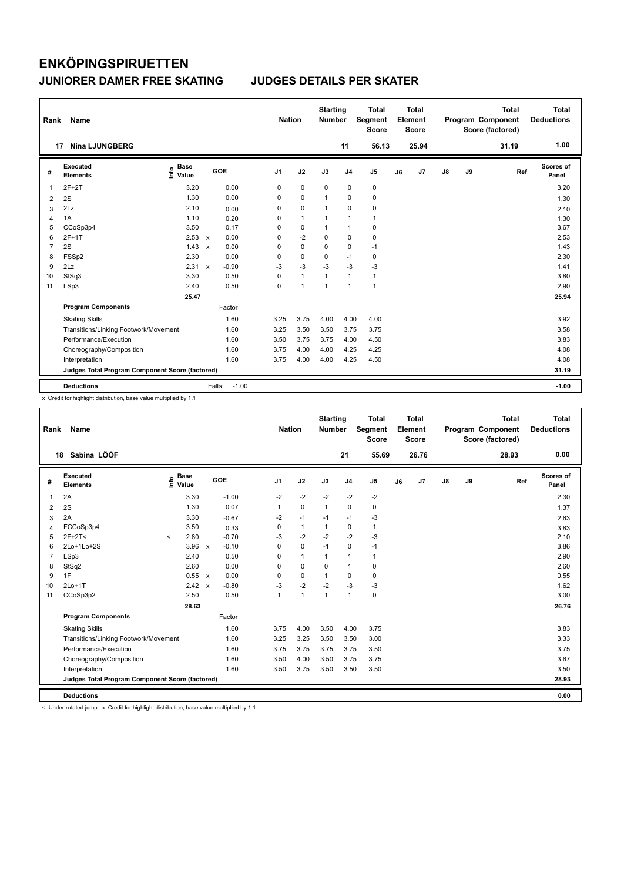| Rank           | Name                                            |                            |                                   |         | <b>Nation</b>  |                | <b>Starting</b><br><b>Number</b> |                | <b>Total</b><br>Segment<br><b>Score</b> |    | <b>Total</b><br>Element<br><b>Score</b> |               |    | <b>Total</b><br>Program Component<br>Score (factored) | <b>Total</b><br><b>Deductions</b> |
|----------------|-------------------------------------------------|----------------------------|-----------------------------------|---------|----------------|----------------|----------------------------------|----------------|-----------------------------------------|----|-----------------------------------------|---------------|----|-------------------------------------------------------|-----------------------------------|
| 17             | <b>Nina LJUNGBERG</b>                           |                            |                                   |         |                |                |                                  | 11             | 56.13                                   |    | 25.94                                   |               |    | 31.19                                                 | 1.00                              |
| #              | Executed<br><b>Elements</b>                     | <b>Base</b><br>۴۵<br>Value | GOE                               |         | J <sub>1</sub> | J2             | J3                               | J <sub>4</sub> | J <sub>5</sub>                          | J6 | J <sub>7</sub>                          | $\mathsf{J}8$ | J9 | Ref                                                   | Scores of<br>Panel                |
| 1              | $2F+2T$                                         | 3.20                       | 0.00                              |         | 0              | $\mathbf 0$    | $\mathbf 0$                      | $\mathbf 0$    | $\pmb{0}$                               |    |                                         |               |    |                                                       | 3.20                              |
| $\overline{2}$ | 2S                                              | 1.30                       | 0.00                              |         | 0              | $\mathbf 0$    | 1                                | 0              | $\pmb{0}$                               |    |                                         |               |    |                                                       | 1.30                              |
| 3              | 2Lz                                             | 2.10                       | 0.00                              |         | 0              | $\mathbf 0$    | 1                                | $\mathbf 0$    | 0                                       |    |                                         |               |    |                                                       | 2.10                              |
| $\overline{4}$ | 1A                                              | 1.10                       | 0.20                              |         | 0              | $\mathbf{1}$   | $\mathbf{1}$                     | $\overline{1}$ | $\mathbf{1}$                            |    |                                         |               |    |                                                       | 1.30                              |
| 5              | CCoSp3p4                                        | 3.50                       | 0.17                              |         | 0              | $\mathbf 0$    | 1                                | $\overline{1}$ | $\pmb{0}$                               |    |                                         |               |    |                                                       | 3.67                              |
| 6              | 2F+1T                                           | $2.53 \times$              | 0.00                              |         | 0              | $-2$           | $\Omega$                         | $\mathbf 0$    | $\pmb{0}$                               |    |                                         |               |    |                                                       | 2.53                              |
| 7              | 2S                                              | 1.43                       | 0.00<br>$\boldsymbol{\mathsf{x}}$ |         | 0              | $\pmb{0}$      | 0                                | $\pmb{0}$      | $-1$                                    |    |                                         |               |    |                                                       | 1.43                              |
| 8              | FSSp2                                           | 2.30                       | 0.00                              |         | 0              | $\mathbf 0$    | 0                                | $-1$           | 0                                       |    |                                         |               |    |                                                       | 2.30                              |
| 9              | 2Lz                                             | 2.31                       | $-0.90$<br>$\mathsf{x}$           |         | $-3$           | $-3$           | $-3$                             | $-3$           | $-3$                                    |    |                                         |               |    |                                                       | 1.41                              |
| 10             | StSq3                                           | 3.30                       | 0.50                              |         | 0              | $\mathbf{1}$   | $\mathbf{1}$                     | $\overline{1}$ | $\mathbf{1}$                            |    |                                         |               |    |                                                       | 3.80                              |
| 11             | LSp3                                            | 2.40                       | 0.50                              |         | 0              | $\overline{1}$ | $\overline{1}$                   | $\overline{1}$ | $\mathbf{1}$                            |    |                                         |               |    |                                                       | 2.90                              |
|                |                                                 | 25.47                      |                                   |         |                |                |                                  |                |                                         |    |                                         |               |    |                                                       | 25.94                             |
|                | <b>Program Components</b>                       |                            | Factor                            |         |                |                |                                  |                |                                         |    |                                         |               |    |                                                       |                                   |
|                | <b>Skating Skills</b>                           |                            | 1.60                              |         | 3.25           | 3.75           | 4.00                             | 4.00           | 4.00                                    |    |                                         |               |    |                                                       | 3.92                              |
|                | Transitions/Linking Footwork/Movement           |                            | 1.60                              |         | 3.25           | 3.50           | 3.50                             | 3.75           | 3.75                                    |    |                                         |               |    |                                                       | 3.58                              |
|                | Performance/Execution                           |                            | 1.60                              |         | 3.50           | 3.75           | 3.75                             | 4.00           | 4.50                                    |    |                                         |               |    |                                                       | 3.83                              |
|                | Choreography/Composition                        |                            | 1.60                              |         | 3.75           | 4.00           | 4.00                             | 4.25           | 4.25                                    |    |                                         |               |    |                                                       | 4.08                              |
|                | Interpretation                                  |                            | 1.60                              |         | 3.75           | 4.00           | 4.00                             | 4.25           | 4.50                                    |    |                                         |               |    |                                                       | 4.08                              |
|                | Judges Total Program Component Score (factored) |                            |                                   |         |                |                |                                  |                |                                         |    |                                         |               |    |                                                       | 31.19                             |
|                | <b>Deductions</b>                               |                            | Falls:                            | $-1.00$ |                |                |                                  |                |                                         |    |                                         |               |    |                                                       | $-1.00$                           |

x Credit for highlight distribution, base value multiplied by 1.1

| Rank | Name                                            |                   |             |                         | <b>Nation</b>  |              | <b>Starting</b><br><b>Number</b> |                | <b>Total</b><br>Segment<br><b>Score</b> |    | Total<br>Element<br><b>Score</b> |               |    | <b>Total</b><br>Program Component<br>Score (factored) |     | Total<br><b>Deductions</b> |
|------|-------------------------------------------------|-------------------|-------------|-------------------------|----------------|--------------|----------------------------------|----------------|-----------------------------------------|----|----------------------------------|---------------|----|-------------------------------------------------------|-----|----------------------------|
|      | Sabina LÖÖF<br>18                               |                   |             |                         |                |              |                                  | 21             | 55.69                                   |    | 26.76                            |               |    | 28.93                                                 |     | 0.00                       |
| #    | Executed<br><b>Elements</b>                     | e Base<br>⊆ Value | <b>Base</b> | GOE                     | J <sub>1</sub> | J2           | J3                               | J <sub>4</sub> | J5                                      | J6 | J7                               | $\mathsf{J}8$ | J9 |                                                       | Ref | Scores of<br>Panel         |
| 1    | 2A                                              |                   | 3.30        | $-1.00$                 | $-2$           | $-2$         | $-2$                             | $-2$           | $-2$                                    |    |                                  |               |    |                                                       |     | 2.30                       |
| 2    | 2S                                              |                   | 1.30        | 0.07                    | $\mathbf{1}$   | $\mathbf 0$  | $\mathbf{1}$                     | 0              | 0                                       |    |                                  |               |    |                                                       |     | 1.37                       |
| 3    | 2A                                              |                   | 3.30        | $-0.67$                 | $-2$           | $-1$         | $-1$                             | $-1$           | $-3$                                    |    |                                  |               |    |                                                       |     | 2.63                       |
| 4    | FCCoSp3p4                                       |                   | 3.50        | 0.33                    | 0              | $\mathbf{1}$ |                                  | 0              | 1                                       |    |                                  |               |    |                                                       |     | 3.83                       |
| 5    | $2F+2T<$                                        | $\prec$           | 2.80        | $-0.70$                 | $-3$           | $-2$         | $-2$                             | $-2$           | $-3$                                    |    |                                  |               |    |                                                       |     | 2.10                       |
| 6    | 2Lo+1Lo+2S                                      |                   | 3.96        | $-0.10$<br>$\mathsf{x}$ | 0              | $\mathbf 0$  | $-1$                             | 0              | $-1$                                    |    |                                  |               |    |                                                       |     | 3.86                       |
|      | LSp3                                            |                   | 2.40        | 0.50                    | $\Omega$       | $\mathbf{1}$ | $\mathbf 1$                      | $\mathbf{1}$   | 1                                       |    |                                  |               |    |                                                       |     | 2.90                       |
| 8    | StSq2                                           |                   | 2.60        | 0.00                    | 0              | $\mathbf 0$  | 0                                | $\mathbf{1}$   | 0                                       |    |                                  |               |    |                                                       |     | 2.60                       |
| 9    | 1F                                              |                   | 0.55 x      | 0.00                    | $\Omega$       | $\mathbf 0$  | 1                                | $\Omega$       | 0                                       |    |                                  |               |    |                                                       |     | 0.55                       |
| 10   | $2Lo+1T$                                        |                   | 2.42 x      | $-0.80$                 | $-3$           | $-2$         | $-2$                             | $-3$           | $-3$                                    |    |                                  |               |    |                                                       |     | 1.62                       |
| 11   | CCoSp3p2                                        |                   | 2.50        | 0.50                    | $\mathbf{1}$   | $\mathbf{1}$ | 1                                | $\mathbf{1}$   | 0                                       |    |                                  |               |    |                                                       |     | 3.00                       |
|      |                                                 |                   | 28.63       |                         |                |              |                                  |                |                                         |    |                                  |               |    |                                                       |     | 26.76                      |
|      | <b>Program Components</b>                       |                   |             | Factor                  |                |              |                                  |                |                                         |    |                                  |               |    |                                                       |     |                            |
|      | <b>Skating Skills</b>                           |                   |             | 1.60                    | 3.75           | 4.00         | 3.50                             | 4.00           | 3.75                                    |    |                                  |               |    |                                                       |     | 3.83                       |
|      | Transitions/Linking Footwork/Movement           |                   |             | 1.60                    | 3.25           | 3.25         | 3.50                             | 3.50           | 3.00                                    |    |                                  |               |    |                                                       |     | 3.33                       |
|      | Performance/Execution                           |                   |             | 1.60                    | 3.75           | 3.75         | 3.75                             | 3.75           | 3.50                                    |    |                                  |               |    |                                                       |     | 3.75                       |
|      | Choreography/Composition                        |                   |             | 1.60                    | 3.50           | 4.00         | 3.50                             | 3.75           | 3.75                                    |    |                                  |               |    |                                                       |     | 3.67                       |
|      | Interpretation                                  |                   |             | 1.60                    | 3.50           | 3.75         | 3.50                             | 3.50           | 3.50                                    |    |                                  |               |    |                                                       |     | 3.50                       |
|      | Judges Total Program Component Score (factored) |                   |             |                         |                |              |                                  |                |                                         |    |                                  |               |    |                                                       |     | 28.93                      |
|      | <b>Deductions</b>                               |                   |             |                         |                |              |                                  |                |                                         |    |                                  |               |    |                                                       |     | 0.00                       |

< Under-rotated jump x Credit for highlight distribution, base value multiplied by 1.1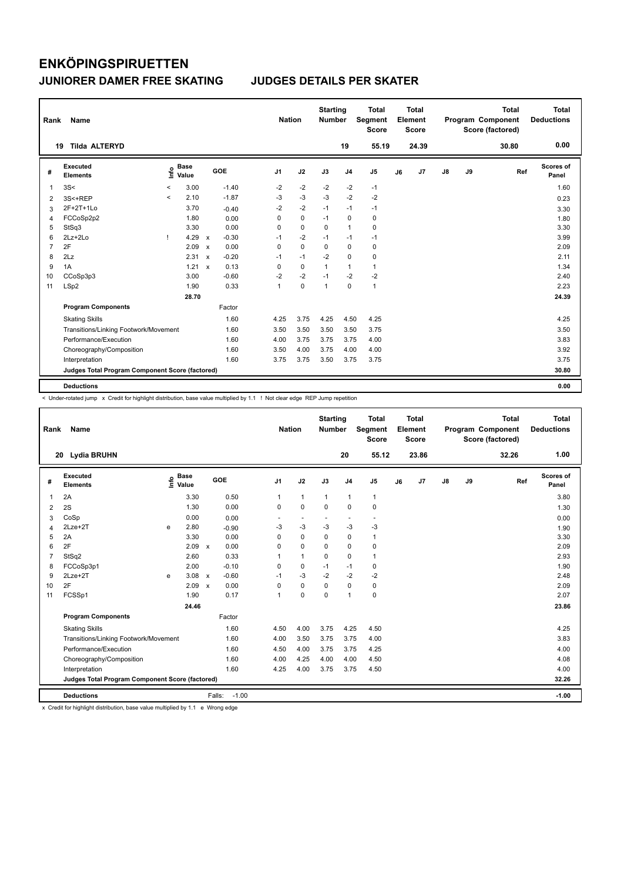| Rank | Name                                            |                          |                      |                           |            | <b>Nation</b>  |             | <b>Starting</b><br><b>Number</b> |                | <b>Total</b><br>Segment<br><b>Score</b> |    | <b>Total</b><br>Element<br><b>Score</b> |               |    | <b>Total</b><br>Program Component<br>Score (factored) | Total<br><b>Deductions</b> |
|------|-------------------------------------------------|--------------------------|----------------------|---------------------------|------------|----------------|-------------|----------------------------------|----------------|-----------------------------------------|----|-----------------------------------------|---------------|----|-------------------------------------------------------|----------------------------|
|      | <b>Tilda ALTERYD</b><br>19                      |                          |                      |                           |            |                |             |                                  | 19             | 55.19                                   |    | 24.39                                   |               |    | 30.80                                                 | 0.00                       |
| #    | Executed<br><b>Elements</b>                     | ١nf٥                     | <b>Base</b><br>Value |                           | <b>GOE</b> | J <sub>1</sub> | J2          | J3                               | J <sub>4</sub> | J5                                      | J6 | J7                                      | $\mathsf{J}8$ | J9 | Ref                                                   | Scores of<br>Panel         |
| 1    | 3S<                                             | $\,<\,$                  | 3.00                 |                           | $-1.40$    | $-2$           | $-2$        | $-2$                             | $-2$           | $-1$                                    |    |                                         |               |    |                                                       | 1.60                       |
| 2    | 3S<+REP                                         | $\overline{\phantom{a}}$ | 2.10                 |                           | $-1.87$    | $-3$           | $-3$        | $-3$                             | $-2$           | $-2$                                    |    |                                         |               |    |                                                       | 0.23                       |
| 3    | 2F+2T+1Lo                                       |                          | 3.70                 |                           | $-0.40$    | $-2$           | $-2$        | $-1$                             | $-1$           | $-1$                                    |    |                                         |               |    |                                                       | 3.30                       |
|      | FCCoSp2p2                                       |                          | 1.80                 |                           | 0.00       | 0              | $\mathbf 0$ | $-1$                             | $\Omega$       | 0                                       |    |                                         |               |    |                                                       | 1.80                       |
| 5    | StSq3                                           |                          | 3.30                 |                           | 0.00       | $\mathbf 0$    | $\mathbf 0$ | $\mathbf 0$                      | 1              | 0                                       |    |                                         |               |    |                                                       | 3.30                       |
| 6    | 2Lz+2Lo                                         | T                        | 4.29                 | $\mathsf{x}$              | $-0.30$    | $-1$           | $-2$        | $-1$                             | $-1$           | $-1$                                    |    |                                         |               |    |                                                       | 3.99                       |
| 7    | 2F                                              |                          | 2.09                 | $\boldsymbol{\mathsf{x}}$ | 0.00       | $\mathbf 0$    | $\mathbf 0$ | $\Omega$                         | $\Omega$       | 0                                       |    |                                         |               |    |                                                       | 2.09                       |
| 8    | 2Lz                                             |                          | 2.31                 | $\boldsymbol{\mathsf{x}}$ | $-0.20$    | $-1$           | $-1$        | $-2$                             | $\mathbf 0$    | 0                                       |    |                                         |               |    |                                                       | 2.11                       |
| 9    | 1A                                              |                          | 1.21                 | $\mathsf{x}$              | 0.13       | 0              | $\mathbf 0$ | $\mathbf{1}$                     | 1              | 1                                       |    |                                         |               |    |                                                       | 1.34                       |
| 10   | CCoSp3p3                                        |                          | 3.00                 |                           | $-0.60$    | $-2$           | $-2$        | $-1$                             | $-2$           | $-2$                                    |    |                                         |               |    |                                                       | 2.40                       |
| 11   | LSp2                                            |                          | 1.90                 |                           | 0.33       | $\mathbf{1}$   | $\mathbf 0$ | $\mathbf{1}$                     | $\Omega$       | $\mathbf{1}$                            |    |                                         |               |    |                                                       | 2.23                       |
|      |                                                 |                          | 28.70                |                           |            |                |             |                                  |                |                                         |    |                                         |               |    |                                                       | 24.39                      |
|      | <b>Program Components</b>                       |                          |                      |                           | Factor     |                |             |                                  |                |                                         |    |                                         |               |    |                                                       |                            |
|      | <b>Skating Skills</b>                           |                          |                      |                           | 1.60       | 4.25           | 3.75        | 4.25                             | 4.50           | 4.25                                    |    |                                         |               |    |                                                       | 4.25                       |
|      | Transitions/Linking Footwork/Movement           |                          |                      |                           | 1.60       | 3.50           | 3.50        | 3.50                             | 3.50           | 3.75                                    |    |                                         |               |    |                                                       | 3.50                       |
|      | Performance/Execution                           |                          |                      |                           | 1.60       | 4.00           | 3.75        | 3.75                             | 3.75           | 4.00                                    |    |                                         |               |    |                                                       | 3.83                       |
|      | Choreography/Composition                        |                          |                      |                           | 1.60       | 3.50           | 4.00        | 3.75                             | 4.00           | 4.00                                    |    |                                         |               |    |                                                       | 3.92                       |
|      | Interpretation                                  |                          |                      |                           | 1.60       | 3.75           | 3.75        | 3.50                             | 3.75           | 3.75                                    |    |                                         |               |    |                                                       | 3.75                       |
|      | Judges Total Program Component Score (factored) |                          |                      |                           |            |                |             |                                  |                |                                         |    |                                         |               |    |                                                       | 30.80                      |
|      |                                                 |                          |                      |                           |            |                |             |                                  |                |                                         |    |                                         |               |    |                                                       | 0.00                       |
|      | <b>Deductions</b>                               |                          |                      |                           |            |                |             |                                  |                |                                         |    |                                         |               |    |                                                       |                            |

< Under-rotated jump x Credit for highlight distribution, base value multiplied by 1.1 ! Not clear edge REP Jump repetition

| Rank           | Name                                            |    |                      |              |                   |                | <b>Nation</b> |                          | <b>Starting</b><br><b>Number</b> |                      | <b>Total</b><br>Segment<br><b>Score</b> |    | Total<br>Element<br><b>Score</b> |               |    | <b>Total</b><br>Program Component<br>Score (factored) |     | Total<br><b>Deductions</b> |
|----------------|-------------------------------------------------|----|----------------------|--------------|-------------------|----------------|---------------|--------------------------|----------------------------------|----------------------|-----------------------------------------|----|----------------------------------|---------------|----|-------------------------------------------------------|-----|----------------------------|
|                | <b>Lydia BRUHN</b><br>20                        |    |                      |              |                   |                |               |                          |                                  | 20                   | 55.12                                   |    | 23.86                            |               |    | 32.26                                                 |     | 1.00                       |
| #              | Executed<br><b>Elements</b>                     | ۴ů | <b>Base</b><br>Value |              | GOE               | J <sub>1</sub> |               | J2                       | J3                               | J <sub>4</sub>       | J <sub>5</sub>                          | J6 | J <sub>7</sub>                   | $\mathsf{J}8$ | J9 |                                                       | Ref | Scores of<br>Panel         |
| 1              | 2A                                              |    | 3.30                 |              | 0.50              | $\mathbf{1}$   |               | $\mathbf{1}$             | $\mathbf{1}$                     | $\mathbf{1}$         | $\mathbf{1}$                            |    |                                  |               |    |                                                       |     | 3.80                       |
| 2              | 2S                                              |    | 1.30                 |              | 0.00              | 0              |               | $\mathbf 0$              | $\mathbf 0$                      | $\mathbf 0$          | $\mathbf 0$                             |    |                                  |               |    |                                                       |     | 1.30                       |
| 3              | CoSp                                            |    | 0.00                 |              | 0.00              | ٠              |               | $\overline{\phantom{a}}$ | ٠                                | $\ddot{\phantom{1}}$ | $\overline{a}$                          |    |                                  |               |    |                                                       |     | 0.00                       |
| 4              | $2Lze+2T$                                       | e  | 2.80                 |              | $-0.90$           | $-3$           |               | $-3$                     | $-3$                             | $-3$                 | $-3$                                    |    |                                  |               |    |                                                       |     | 1.90                       |
| 5              | 2A                                              |    | 3.30                 |              | 0.00              | 0              |               | $\mathbf 0$              | $\Omega$                         | $\mathbf 0$          | $\mathbf{1}$                            |    |                                  |               |    |                                                       |     | 3.30                       |
| 6              | 2F                                              |    | 2.09                 | $\mathbf{x}$ | 0.00              | 0              |               | $\mathbf 0$              | $\Omega$                         | $\Omega$             | 0                                       |    |                                  |               |    |                                                       |     | 2.09                       |
| $\overline{7}$ | StSq2                                           |    | 2.60                 |              | 0.33              | 1              |               | $\mathbf{1}$             | $\Omega$                         | $\mathbf 0$          | $\mathbf{1}$                            |    |                                  |               |    |                                                       |     | 2.93                       |
| 8              | FCCoSp3p1                                       |    | 2.00                 |              | $-0.10$           | 0              |               | $\mathbf 0$              | $-1$                             | $-1$                 | 0                                       |    |                                  |               |    |                                                       |     | 1.90                       |
| 9              | $2Lze+2T$                                       | e  | 3.08                 | $\mathbf{x}$ | $-0.60$           | $-1$           |               | $-3$                     | $-2$                             | $-2$                 | $-2$                                    |    |                                  |               |    |                                                       |     | 2.48                       |
| 10             | 2F                                              |    | 2.09                 | $\mathbf x$  | 0.00              | 0              |               | $\mathbf 0$              | $\Omega$                         | $\Omega$             | 0                                       |    |                                  |               |    |                                                       |     | 2.09                       |
| 11             | FCSSp1                                          |    | 1.90                 |              | 0.17              | 1              |               | $\mathbf 0$              | $\mathbf 0$                      | $\overline{1}$       | $\mathbf 0$                             |    |                                  |               |    |                                                       |     | 2.07                       |
|                |                                                 |    | 24.46                |              |                   |                |               |                          |                                  |                      |                                         |    |                                  |               |    |                                                       |     | 23.86                      |
|                | <b>Program Components</b>                       |    |                      |              | Factor            |                |               |                          |                                  |                      |                                         |    |                                  |               |    |                                                       |     |                            |
|                | <b>Skating Skills</b>                           |    |                      |              | 1.60              | 4.50           |               | 4.00                     | 3.75                             | 4.25                 | 4.50                                    |    |                                  |               |    |                                                       |     | 4.25                       |
|                | Transitions/Linking Footwork/Movement           |    |                      |              | 1.60              | 4.00           |               | 3.50                     | 3.75                             | 3.75                 | 4.00                                    |    |                                  |               |    |                                                       |     | 3.83                       |
|                | Performance/Execution                           |    |                      |              | 1.60              | 4.50           |               | 4.00                     | 3.75                             | 3.75                 | 4.25                                    |    |                                  |               |    |                                                       |     | 4.00                       |
|                | Choreography/Composition                        |    |                      |              | 1.60              | 4.00           |               | 4.25                     | 4.00                             | 4.00                 | 4.50                                    |    |                                  |               |    |                                                       |     | 4.08                       |
|                | Interpretation                                  |    |                      |              | 1.60              | 4.25           |               | 4.00                     | 3.75                             | 3.75                 | 4.50                                    |    |                                  |               |    |                                                       |     | 4.00                       |
|                | Judges Total Program Component Score (factored) |    |                      |              |                   |                |               |                          |                                  |                      |                                         |    |                                  |               |    |                                                       |     | 32.26                      |
|                | <b>Deductions</b>                               |    |                      |              | $-1.00$<br>Falls: |                |               |                          |                                  |                      |                                         |    |                                  |               |    |                                                       |     | $-1.00$                    |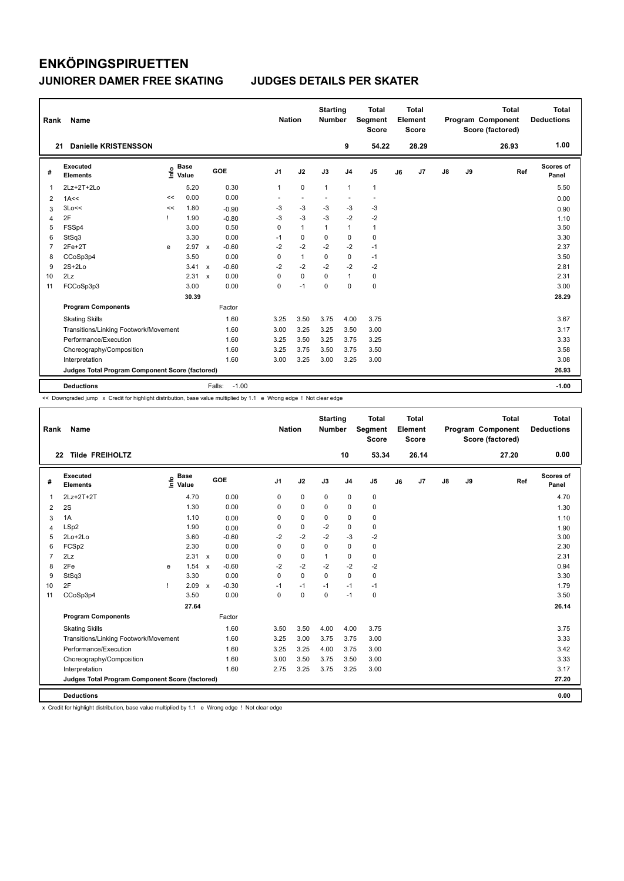| Rank           | Name                                            |      |                      |              |                   | <b>Nation</b>  |                          | <b>Starting</b><br><b>Number</b> |                | Total<br>Segment<br><b>Score</b> |    | <b>Total</b><br>Element<br><b>Score</b> |               |    | <b>Total</b><br>Program Component<br>Score (factored) | <b>Total</b><br><b>Deductions</b> |
|----------------|-------------------------------------------------|------|----------------------|--------------|-------------------|----------------|--------------------------|----------------------------------|----------------|----------------------------------|----|-----------------------------------------|---------------|----|-------------------------------------------------------|-----------------------------------|
| 21             | Danielle KRISTENSSON                            |      |                      |              |                   |                |                          |                                  | 9              | 54.22                            |    | 28.29                                   |               |    | 26.93                                                 | 1.00                              |
| #              | Executed<br><b>Elements</b>                     | ١nfo | <b>Base</b><br>Value |              | GOE               | J <sub>1</sub> | J2                       | J3                               | J <sub>4</sub> | J <sub>5</sub>                   | J6 | J7                                      | $\mathsf{J}8$ | J9 | Ref                                                   | Scores of<br>Panel                |
| 1              | $2Lz+2T+2Lo$                                    |      | 5.20                 |              | 0.30              | 1              | $\mathbf 0$              | $\mathbf{1}$                     | $\mathbf{1}$   | $\mathbf{1}$                     |    |                                         |               |    |                                                       | 5.50                              |
| 2              | 1A<<                                            | <<   | 0.00                 |              | 0.00              | ٠              | $\overline{\phantom{a}}$ | $\overline{a}$                   |                | $\overline{\phantom{a}}$         |    |                                         |               |    |                                                       | 0.00                              |
| 3              | 3Lo<<                                           | <<   | 1.80                 |              | $-0.90$           | -3             | -3                       | -3                               | -3             | -3                               |    |                                         |               |    |                                                       | 0.90                              |
| 4              | 2F                                              | -1   | 1.90                 |              | $-0.80$           | $-3$           | $-3$                     | $-3$                             | $-2$           | $-2$                             |    |                                         |               |    |                                                       | 1.10                              |
| 5              | FSSp4                                           |      | 3.00                 |              | 0.50              | 0              | $\mathbf{1}$             | $\mathbf{1}$                     | $\mathbf{1}$   | $\mathbf{1}$                     |    |                                         |               |    |                                                       | 3.50                              |
| 6              | StSq3                                           |      | 3.30                 |              | 0.00              | $-1$           | $\mathbf 0$              | $\mathbf 0$                      | $\mathbf 0$    | 0                                |    |                                         |               |    |                                                       | 3.30                              |
| $\overline{7}$ | $2Fe+2T$                                        | e    | 2.97                 | $\mathsf{x}$ | $-0.60$           | $-2$           | $-2$                     | $-2$                             | $-2$           | $-1$                             |    |                                         |               |    |                                                       | 2.37                              |
| 8              | CCoSp3p4                                        |      | 3.50                 |              | 0.00              | 0              | $\mathbf{1}$             | $\Omega$                         | $\mathbf 0$    | $-1$                             |    |                                         |               |    |                                                       | 3.50                              |
| 9              | $2S+2Lo$                                        |      | 3.41                 | $\mathsf{x}$ | $-0.60$           | $-2$           | $-2$                     | $-2$                             | $-2$           | $-2$                             |    |                                         |               |    |                                                       | 2.81                              |
| 10             | 2Lz                                             |      | 2.31                 | $\mathbf{x}$ | 0.00              | 0              | $\mathbf 0$              | $\Omega$                         | $\mathbf{1}$   | 0                                |    |                                         |               |    |                                                       | 2.31                              |
| 11             | FCCoSp3p3                                       |      | 3.00                 |              | 0.00              | 0              | $-1$                     | $\Omega$                         | $\mathbf 0$    | $\mathsf 0$                      |    |                                         |               |    |                                                       | 3.00                              |
|                |                                                 |      | 30.39                |              |                   |                |                          |                                  |                |                                  |    |                                         |               |    |                                                       | 28.29                             |
|                | <b>Program Components</b>                       |      |                      |              | Factor            |                |                          |                                  |                |                                  |    |                                         |               |    |                                                       |                                   |
|                | <b>Skating Skills</b>                           |      |                      |              | 1.60              | 3.25           | 3.50                     | 3.75                             | 4.00           | 3.75                             |    |                                         |               |    |                                                       | 3.67                              |
|                | Transitions/Linking Footwork/Movement           |      |                      |              | 1.60              | 3.00           | 3.25                     | 3.25                             | 3.50           | 3.00                             |    |                                         |               |    |                                                       | 3.17                              |
|                | Performance/Execution                           |      |                      |              | 1.60              | 3.25           | 3.50                     | 3.25                             | 3.75           | 3.25                             |    |                                         |               |    |                                                       | 3.33                              |
|                | Choreography/Composition                        |      |                      |              | 1.60              | 3.25           | 3.75                     | 3.50                             | 3.75           | 3.50                             |    |                                         |               |    |                                                       | 3.58                              |
|                | Interpretation                                  |      |                      |              | 1.60              | 3.00           | 3.25                     | 3.00                             | 3.25           | 3.00                             |    |                                         |               |    |                                                       | 3.08                              |
|                | Judges Total Program Component Score (factored) |      |                      |              |                   |                |                          |                                  |                |                                  |    |                                         |               |    |                                                       | 26.93                             |
|                | <b>Deductions</b>                               |      |                      |              | $-1.00$<br>Falls: |                |                          |                                  |                |                                  |    |                                         |               |    |                                                       | $-1.00$                           |

<< Downgraded jump x Credit for highlight distribution, base value multiplied by 1.1 e Wrong edge ! Not clear edge

| Rank           | Name                                            |      |                      |                           |         | <b>Nation</b>  |             | <b>Starting</b><br><b>Number</b> |                | <b>Total</b><br><b>Segment</b><br><b>Score</b> |    | <b>Total</b><br>Element<br><b>Score</b> |               |    | <b>Total</b><br>Program Component<br>Score (factored) | <b>Total</b><br><b>Deductions</b> |
|----------------|-------------------------------------------------|------|----------------------|---------------------------|---------|----------------|-------------|----------------------------------|----------------|------------------------------------------------|----|-----------------------------------------|---------------|----|-------------------------------------------------------|-----------------------------------|
|                | <b>Tilde FREIHOLTZ</b><br>22                    |      |                      |                           |         |                |             |                                  | 10             | 53.34                                          |    | 26.14                                   |               |    | 27.20                                                 | 0.00                              |
| #              | Executed<br><b>Elements</b>                     | lnfo | <b>Base</b><br>Value |                           | GOE     | J <sub>1</sub> | J2          | J3                               | J <sub>4</sub> | J <sub>5</sub>                                 | J6 | J7                                      | $\mathsf{J}8$ | J9 | Ref                                                   | <b>Scores of</b><br>Panel         |
| 1              | 2Lz+2T+2T                                       |      | 4.70                 |                           | 0.00    | $\mathbf 0$    | $\mathbf 0$ | $\mathbf 0$                      | $\mathbf 0$    | $\pmb{0}$                                      |    |                                         |               |    |                                                       | 4.70                              |
| 2              | 2S                                              |      | 1.30                 |                           | 0.00    | 0              | 0           | 0                                | 0              | 0                                              |    |                                         |               |    |                                                       | 1.30                              |
| 3              | 1A                                              |      | 1.10                 |                           | 0.00    | 0              | $\pmb{0}$   | $\mathbf 0$                      | $\mathbf 0$    | $\pmb{0}$                                      |    |                                         |               |    |                                                       | 1.10                              |
| 4              | LSp2                                            |      | 1.90                 |                           | 0.00    | 0              | $\mathbf 0$ | $-2$                             | $\pmb{0}$      | 0                                              |    |                                         |               |    |                                                       | 1.90                              |
| 5              | 2Lo+2Lo                                         |      | 3.60                 |                           | $-0.60$ | $-2$           | $-2$        | $-2$                             | $-3$           | $-2$                                           |    |                                         |               |    |                                                       | 3.00                              |
| 6              | FCSp2                                           |      | 2.30                 |                           | 0.00    | $\mathbf 0$    | $\mathbf 0$ | $\Omega$                         | $\mathbf 0$    | 0                                              |    |                                         |               |    |                                                       | 2.30                              |
| $\overline{7}$ | 2Lz                                             |      | 2.31                 | $\boldsymbol{\mathsf{x}}$ | 0.00    | 0              | $\pmb{0}$   | $\mathbf{1}$                     | $\mathbf 0$    | 0                                              |    |                                         |               |    |                                                       | 2.31                              |
| 8              | 2Fe                                             | e    | 1.54                 | $\boldsymbol{\mathsf{x}}$ | $-0.60$ | $-2$           | $-2$        | $-2$                             | $-2$           | $-2$                                           |    |                                         |               |    |                                                       | 0.94                              |
| 9              | StSq3                                           |      | 3.30                 |                           | 0.00    | 0              | $\mathbf 0$ | $\mathbf 0$                      | $\mathbf 0$    | 0                                              |    |                                         |               |    |                                                       | 3.30                              |
| 10             | 2F                                              |      | 2.09                 | $\mathsf{x}$              | $-0.30$ | $-1$           | $-1$        | $-1$                             | $-1$           | $-1$                                           |    |                                         |               |    |                                                       | 1.79                              |
| 11             | CCoSp3p4                                        |      | 3.50                 |                           | 0.00    | $\mathbf 0$    | $\mathbf 0$ | $\pmb{0}$                        | $-1$           | $\pmb{0}$                                      |    |                                         |               |    |                                                       | 3.50                              |
|                |                                                 |      | 27.64                |                           |         |                |             |                                  |                |                                                |    |                                         |               |    |                                                       | 26.14                             |
|                | <b>Program Components</b>                       |      |                      |                           | Factor  |                |             |                                  |                |                                                |    |                                         |               |    |                                                       |                                   |
|                | <b>Skating Skills</b>                           |      |                      |                           | 1.60    | 3.50           | 3.50        | 4.00                             | 4.00           | 3.75                                           |    |                                         |               |    |                                                       | 3.75                              |
|                | Transitions/Linking Footwork/Movement           |      |                      |                           | 1.60    | 3.25           | 3.00        | 3.75                             | 3.75           | 3.00                                           |    |                                         |               |    |                                                       | 3.33                              |
|                | Performance/Execution                           |      |                      |                           | 1.60    | 3.25           | 3.25        | 4.00                             | 3.75           | 3.00                                           |    |                                         |               |    |                                                       | 3.42                              |
|                | Choreography/Composition                        |      |                      |                           | 1.60    | 3.00           | 3.50        | 3.75                             | 3.50           | 3.00                                           |    |                                         |               |    |                                                       | 3.33                              |
|                | Interpretation                                  |      |                      |                           | 1.60    | 2.75           | 3.25        | 3.75                             | 3.25           | 3.00                                           |    |                                         |               |    |                                                       | 3.17                              |
|                | Judges Total Program Component Score (factored) |      |                      |                           |         |                |             |                                  |                |                                                |    |                                         |               |    |                                                       | 27.20                             |
|                | <b>Deductions</b>                               |      |                      |                           |         |                |             |                                  |                |                                                |    |                                         |               |    |                                                       | 0.00                              |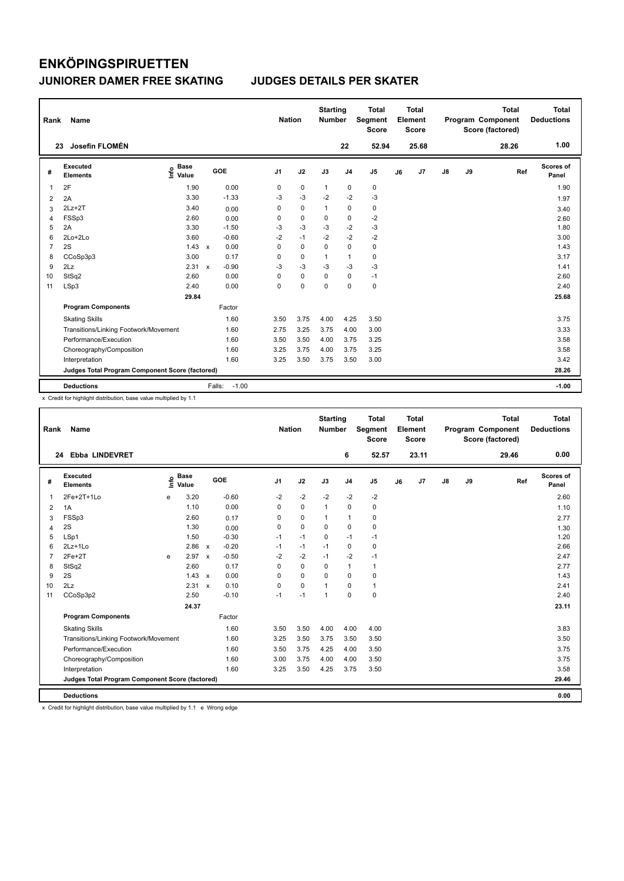| Rank | Name                                            |                                  |              |         | <b>Nation</b>  |             | <b>Starting</b><br><b>Number</b> |                | <b>Total</b><br>Segment<br><b>Score</b> |    | Total<br>Element<br><b>Score</b> |               |    | <b>Total</b><br>Program Component<br>Score (factored) | Total<br><b>Deductions</b> |
|------|-------------------------------------------------|----------------------------------|--------------|---------|----------------|-------------|----------------------------------|----------------|-----------------------------------------|----|----------------------------------|---------------|----|-------------------------------------------------------|----------------------------|
|      | Josefin FLOMÉN<br>23                            |                                  |              |         |                |             |                                  | 22             | 52.94                                   |    | 25.68                            |               |    | 28.26                                                 | 1.00                       |
| #    | <b>Executed</b><br><b>Elements</b>              | <b>Base</b><br>e Base<br>⊆ Value |              | GOE     | J <sub>1</sub> | J2          | J3                               | J <sub>4</sub> | J <sub>5</sub>                          | J6 | J7                               | $\mathsf{J}8$ | J9 | Ref                                                   | Scores of<br>Panel         |
| 1    | 2F                                              | 1.90                             |              | 0.00    | 0              | 0           | $\mathbf{1}$                     | 0              | 0                                       |    |                                  |               |    |                                                       | 1.90                       |
| 2    | 2A                                              | 3.30                             |              | $-1.33$ | -3             | $-3$        | $-2$                             | $-2$           | $-3$                                    |    |                                  |               |    |                                                       | 1.97                       |
| 3    | $2Lz+2T$                                        | 3.40                             |              | 0.00    | 0              | $\mathbf 0$ | 1                                | 0              | 0                                       |    |                                  |               |    |                                                       | 3.40                       |
| 4    | FSSp3                                           | 2.60                             |              | 0.00    | 0              | $\mathbf 0$ | $\mathbf 0$                      | $\mathbf 0$    | $-2$                                    |    |                                  |               |    |                                                       | 2.60                       |
| 5    | 2A                                              | 3.30                             |              | $-1.50$ | $-3$           | $-3$        | $-3$                             | $-2$           | $-3$                                    |    |                                  |               |    |                                                       | 1.80                       |
| 6    | 2Lo+2Lo                                         | 3.60                             |              | $-0.60$ | $-2$           | $-1$        | $-2$                             | $-2$           | $-2$                                    |    |                                  |               |    |                                                       | 3.00                       |
| 7    | 2S                                              | 1.43                             | $\mathsf{x}$ | 0.00    | 0              | $\mathbf 0$ | $\mathbf 0$                      | $\mathbf 0$    | $\pmb{0}$                               |    |                                  |               |    |                                                       | 1.43                       |
| 8    | CCoSp3p3                                        | 3.00                             |              | 0.17    | 0              | $\Omega$    | 1                                | $\overline{1}$ | $\pmb{0}$                               |    |                                  |               |    |                                                       | 3.17                       |
| 9    | 2Lz                                             | 2.31                             | $\mathbf{x}$ | $-0.90$ | $-3$           | $-3$        | $-3$                             | $-3$           | $-3$                                    |    |                                  |               |    |                                                       | 1.41                       |
| 10   | StSq2                                           | 2.60                             |              | 0.00    | 0              | $\mathbf 0$ | $\Omega$                         | 0              | $-1$                                    |    |                                  |               |    |                                                       | 2.60                       |
| 11   | LSp3                                            | 2.40                             |              | 0.00    | 0              | $\mathbf 0$ | 0                                | $\mathbf 0$    | $\pmb{0}$                               |    |                                  |               |    |                                                       | 2.40                       |
|      |                                                 | 29.84                            |              |         |                |             |                                  |                |                                         |    |                                  |               |    |                                                       | 25.68                      |
|      | <b>Program Components</b>                       |                                  |              | Factor  |                |             |                                  |                |                                         |    |                                  |               |    |                                                       |                            |
|      | <b>Skating Skills</b>                           |                                  |              | 1.60    | 3.50           | 3.75        | 4.00                             | 4.25           | 3.50                                    |    |                                  |               |    |                                                       | 3.75                       |
|      | Transitions/Linking Footwork/Movement           |                                  |              | 1.60    | 2.75           | 3.25        | 3.75                             | 4.00           | 3.00                                    |    |                                  |               |    |                                                       | 3.33                       |
|      | Performance/Execution                           |                                  |              | 1.60    | 3.50           | 3.50        | 4.00                             | 3.75           | 3.25                                    |    |                                  |               |    |                                                       | 3.58                       |
|      | Choreography/Composition                        |                                  |              | 1.60    | 3.25           | 3.75        | 4.00                             | 3.75           | 3.25                                    |    |                                  |               |    |                                                       | 3.58                       |
|      | Interpretation                                  |                                  |              | 1.60    | 3.25           | 3.50        | 3.75                             | 3.50           | 3.00                                    |    |                                  |               |    |                                                       | 3.42                       |
|      | Judges Total Program Component Score (factored) |                                  |              |         |                |             |                                  |                |                                         |    |                                  |               |    |                                                       | 28.26                      |
|      | <b>Deductions</b>                               |                                  | Falls:       | $-1.00$ |                |             |                                  |                |                                         |    |                                  |               |    |                                                       | $-1.00$                    |

x Credit for highlight distribution, base value multiplied by 1.1

| Rank           | Name                                            |      |                      |              |            |                | <b>Nation</b> | <b>Starting</b><br><b>Number</b> |                | <b>Total</b><br>Segment<br><b>Score</b> |    | <b>Total</b><br>Element<br><b>Score</b> |               |    | <b>Total</b><br>Program Component<br>Score (factored) |     | <b>Total</b><br><b>Deductions</b> |
|----------------|-------------------------------------------------|------|----------------------|--------------|------------|----------------|---------------|----------------------------------|----------------|-----------------------------------------|----|-----------------------------------------|---------------|----|-------------------------------------------------------|-----|-----------------------------------|
| 24             | <b>Ebba LINDEVRET</b>                           |      |                      |              |            |                |               |                                  | 6              | 52.57                                   |    | 23.11                                   |               |    | 29.46                                                 |     | 0.00                              |
| #              | Executed<br><b>Elements</b>                     | Info | <b>Base</b><br>Value |              | <b>GOE</b> | J <sub>1</sub> | J2            | J3                               | J <sub>4</sub> | J5                                      | J6 | J7                                      | $\mathsf{J}8$ | J9 |                                                       | Ref | Scores of<br>Panel                |
| $\mathbf{1}$   | 2Fe+2T+1Lo                                      | e    | 3.20                 |              | $-0.60$    | $-2$           | $-2$          | $-2$                             | $-2$           | $-2$                                    |    |                                         |               |    |                                                       |     | 2.60                              |
| 2              | 1A                                              |      | 1.10                 |              | 0.00       | $\Omega$       | 0             | $\mathbf{1}$                     | 0              | 0                                       |    |                                         |               |    |                                                       |     | 1.10                              |
| 3              | FSSp3                                           |      | 2.60                 |              | 0.17       | $\Omega$       | $\mathbf 0$   | $\mathbf{1}$                     | $\mathbf{1}$   | 0                                       |    |                                         |               |    |                                                       |     | 2.77                              |
| $\overline{4}$ | 2S                                              |      | 1.30                 |              | 0.00       | 0              | $\mathbf 0$   | $\Omega$                         | $\mathbf 0$    | 0                                       |    |                                         |               |    |                                                       |     | 1.30                              |
| 5              | LSp1                                            |      | 1.50                 |              | $-0.30$    | $-1$           | $-1$          | $\Omega$                         | $-1$           | $-1$                                    |    |                                         |               |    |                                                       |     | 1.20                              |
| 6              | $2Lz+1Lo$                                       |      | 2.86                 | $\mathsf{x}$ | $-0.20$    | $-1$           | $-1$          | $-1$                             | $\Omega$       | 0                                       |    |                                         |               |    |                                                       |     | 2.66                              |
| 7              | $2Fe+2T$                                        | e    | 2.97                 | $\mathbf{x}$ | $-0.50$    | $-2$           | $-2$          | $-1$                             | $-2$           | $-1$                                    |    |                                         |               |    |                                                       |     | 2.47                              |
| 8              | StSq2                                           |      | 2.60                 |              | 0.17       | $\Omega$       | $\mathbf 0$   | 0                                | $\mathbf{1}$   | 1                                       |    |                                         |               |    |                                                       |     | 2.77                              |
| 9              | 2S                                              |      | 1.43                 | $\mathsf{x}$ | 0.00       | 0              | $\mathbf 0$   | 0                                | $\Omega$       | 0                                       |    |                                         |               |    |                                                       |     | 1.43                              |
| 10             | 2Lz                                             |      | 2.31                 | $\mathsf{x}$ | 0.10       | $\Omega$       | $\mathbf 0$   | $\mathbf{1}$                     | $\Omega$       | 1                                       |    |                                         |               |    |                                                       |     | 2.41                              |
| 11             | CCoSp3p2                                        |      | 2.50                 |              | $-0.10$    | $-1$           | $-1$          | $\mathbf{1}$                     | $\Omega$       | 0                                       |    |                                         |               |    |                                                       |     | 2.40                              |
|                |                                                 |      | 24.37                |              |            |                |               |                                  |                |                                         |    |                                         |               |    |                                                       |     | 23.11                             |
|                | <b>Program Components</b>                       |      |                      |              | Factor     |                |               |                                  |                |                                         |    |                                         |               |    |                                                       |     |                                   |
|                | <b>Skating Skills</b>                           |      |                      |              | 1.60       | 3.50           | 3.50          | 4.00                             | 4.00           | 4.00                                    |    |                                         |               |    |                                                       |     | 3.83                              |
|                | Transitions/Linking Footwork/Movement           |      |                      |              | 1.60       | 3.25           | 3.50          | 3.75                             | 3.50           | 3.50                                    |    |                                         |               |    |                                                       |     | 3.50                              |
|                | Performance/Execution                           |      |                      |              | 1.60       | 3.50           | 3.75          | 4.25                             | 4.00           | 3.50                                    |    |                                         |               |    |                                                       |     | 3.75                              |
|                | Choreography/Composition                        |      |                      |              | 1.60       | 3.00           | 3.75          | 4.00                             | 4.00           | 3.50                                    |    |                                         |               |    |                                                       |     | 3.75                              |
|                | Interpretation                                  |      |                      |              | 1.60       | 3.25           | 3.50          | 4.25                             | 3.75           | 3.50                                    |    |                                         |               |    |                                                       |     | 3.58                              |
|                | Judges Total Program Component Score (factored) |      |                      |              |            |                |               |                                  |                |                                         |    |                                         |               |    |                                                       |     | 29.46                             |
|                | <b>Deductions</b>                               |      |                      |              |            |                |               |                                  |                |                                         |    |                                         |               |    |                                                       |     | 0.00                              |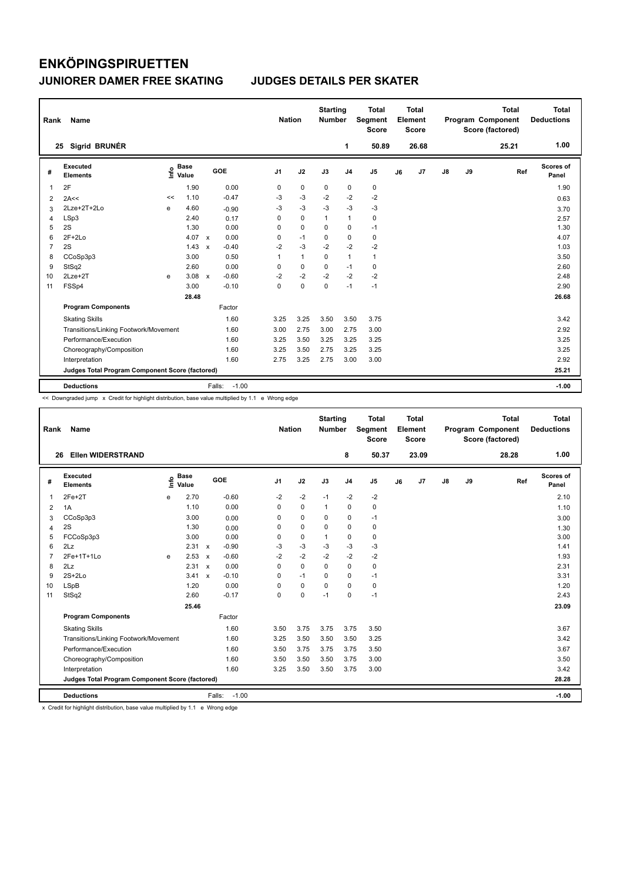| Rank           | Name                                            |      |                      |                           |                   | <b>Nation</b>  |              | <b>Starting</b><br><b>Number</b> |                | Total<br>Segment<br><b>Score</b> |    | <b>Total</b><br>Element<br><b>Score</b> |               |    | <b>Total</b><br>Program Component<br>Score (factored) | <b>Total</b><br><b>Deductions</b> |
|----------------|-------------------------------------------------|------|----------------------|---------------------------|-------------------|----------------|--------------|----------------------------------|----------------|----------------------------------|----|-----------------------------------------|---------------|----|-------------------------------------------------------|-----------------------------------|
|                | Sigrid BRUNÉR<br>25                             |      |                      |                           |                   |                |              |                                  | 1              | 50.89                            |    | 26.68                                   |               |    | 25.21                                                 | 1.00                              |
| #              | Executed<br><b>Elements</b>                     | ١nfo | <b>Base</b><br>Value |                           | GOE               | J <sub>1</sub> | J2           | J3                               | J <sub>4</sub> | J <sub>5</sub>                   | J6 | J7                                      | $\mathsf{J}8$ | J9 | Ref                                                   | Scores of<br>Panel                |
| 1              | 2F                                              |      | 1.90                 |                           | 0.00              | 0              | $\mathbf 0$  | 0                                | $\pmb{0}$      | 0                                |    |                                         |               |    |                                                       | 1.90                              |
| 2              | 2A<<                                            | <<   | 1.10                 |                           | $-0.47$           | $-3$           | $-3$         | $-2$                             | $-2$           | $-2$                             |    |                                         |               |    |                                                       | 0.63                              |
| 3              | 2Lze+2T+2Lo                                     | e    | 4.60                 |                           | $-0.90$           | -3             | $-3$         | $-3$                             | $-3$           | $-3$                             |    |                                         |               |    |                                                       | 3.70                              |
| 4              | LSp3                                            |      | 2.40                 |                           | 0.17              | 0              | $\mathbf 0$  | $\mathbf{1}$                     | $\mathbf{1}$   | 0                                |    |                                         |               |    |                                                       | 2.57                              |
| 5              | 2S                                              |      | 1.30                 |                           | 0.00              | 0              | $\mathbf 0$  | 0                                | 0              | $-1$                             |    |                                         |               |    |                                                       | 1.30                              |
| 6              | $2F+2Lo$                                        |      | 4.07                 | $\mathbf{x}$              | 0.00              | 0              | $-1$         | 0                                | $\mathbf 0$    | 0                                |    |                                         |               |    |                                                       | 4.07                              |
| $\overline{7}$ | 2S                                              |      | 1.43                 | $\mathbf x$               | $-0.40$           | $-2$           | $-3$         | $-2$                             | $-2$           | $-2$                             |    |                                         |               |    |                                                       | 1.03                              |
| 8              | CCoSp3p3                                        |      | 3.00                 |                           | 0.50              | 1              | $\mathbf{1}$ | $\Omega$                         | $\mathbf{1}$   | $\mathbf{1}$                     |    |                                         |               |    |                                                       | 3.50                              |
| 9              | StSq2                                           |      | 2.60                 |                           | 0.00              | 0              | 0            | 0                                | $-1$           | 0                                |    |                                         |               |    |                                                       | 2.60                              |
| 10             | $2Lze+2T$                                       | e    | 3.08                 | $\boldsymbol{\mathsf{x}}$ | $-0.60$           | $-2$           | $-2$         | $-2$                             | $-2$           | $-2$                             |    |                                         |               |    |                                                       | 2.48                              |
| 11             | FSSp4                                           |      | 3.00                 |                           | $-0.10$           | $\Omega$       | $\mathbf 0$  | $\mathbf 0$                      | $-1$           | $-1$                             |    |                                         |               |    |                                                       | 2.90                              |
|                |                                                 |      | 28.48                |                           |                   |                |              |                                  |                |                                  |    |                                         |               |    |                                                       | 26.68                             |
|                | <b>Program Components</b>                       |      |                      |                           | Factor            |                |              |                                  |                |                                  |    |                                         |               |    |                                                       |                                   |
|                | <b>Skating Skills</b>                           |      |                      |                           | 1.60              | 3.25           | 3.25         | 3.50                             | 3.50           | 3.75                             |    |                                         |               |    |                                                       | 3.42                              |
|                | Transitions/Linking Footwork/Movement           |      |                      |                           | 1.60              | 3.00           | 2.75         | 3.00                             | 2.75           | 3.00                             |    |                                         |               |    |                                                       | 2.92                              |
|                | Performance/Execution                           |      |                      |                           | 1.60              | 3.25           | 3.50         | 3.25                             | 3.25           | 3.25                             |    |                                         |               |    |                                                       | 3.25                              |
|                | Choreography/Composition                        |      |                      |                           | 1.60              | 3.25           | 3.50         | 2.75                             | 3.25           | 3.25                             |    |                                         |               |    |                                                       | 3.25                              |
|                | Interpretation                                  |      |                      |                           | 1.60              | 2.75           | 3.25         | 2.75                             | 3.00           | 3.00                             |    |                                         |               |    |                                                       | 2.92                              |
|                | Judges Total Program Component Score (factored) |      |                      |                           |                   |                |              |                                  |                |                                  |    |                                         |               |    |                                                       | 25.21                             |
|                | <b>Deductions</b>                               |      |                      |                           | $-1.00$<br>Falls: |                |              |                                  |                |                                  |    |                                         |               |    |                                                       | $-1.00$                           |

<< Downgraded jump x Credit for highlight distribution, base value multiplied by 1.1 e Wrong edge

| Rank           | Name                                            |      |                      |              |                   | <b>Nation</b>  |             | <b>Starting</b><br><b>Number</b> |                | <b>Total</b><br>Segment<br><b>Score</b> |    | <b>Total</b><br>Element<br><b>Score</b> |               |    | <b>Total</b><br>Program Component<br>Score (factored) |     | <b>Total</b><br><b>Deductions</b> |
|----------------|-------------------------------------------------|------|----------------------|--------------|-------------------|----------------|-------------|----------------------------------|----------------|-----------------------------------------|----|-----------------------------------------|---------------|----|-------------------------------------------------------|-----|-----------------------------------|
| 26             | <b>Ellen WIDERSTRAND</b>                        |      |                      |              |                   |                |             |                                  | 8              | 50.37                                   |    | 23.09                                   |               |    | 28.28                                                 |     | 1.00                              |
| #              | Executed<br><b>Elements</b>                     | ١nfo | <b>Base</b><br>Value |              | <b>GOE</b>        | J <sub>1</sub> | J2          | J3                               | J <sub>4</sub> | J <sub>5</sub>                          | J6 | J7                                      | $\mathsf{J}8$ | J9 |                                                       | Ref | Scores of<br>Panel                |
| $\overline{1}$ | $2Fe+2T$                                        | e    | 2.70                 |              | $-0.60$           | $-2$           | $-2$        | $-1$                             | $-2$           | $-2$                                    |    |                                         |               |    |                                                       |     | 2.10                              |
| 2              | 1A                                              |      | 1.10                 |              | 0.00              | $\Omega$       | $\mathbf 0$ | 1                                | 0              | 0                                       |    |                                         |               |    |                                                       |     | 1.10                              |
| 3              | CCoSp3p3                                        |      | 3.00                 |              | 0.00              | 0              | 0           | $\Omega$                         | $\mathbf 0$    | $-1$                                    |    |                                         |               |    |                                                       |     | 3.00                              |
| 4              | 2S                                              |      | 1.30                 |              | 0.00              | 0              | 0           | 0                                | 0              | 0                                       |    |                                         |               |    |                                                       |     | 1.30                              |
| 5              | FCCoSp3p3                                       |      | 3.00                 |              | 0.00              | 0              | $\mathbf 0$ | 1                                | 0              | 0                                       |    |                                         |               |    |                                                       |     | 3.00                              |
| 6              | 2Lz                                             |      | 2.31                 | $\mathsf{x}$ | $-0.90$           | $-3$           | $-3$        | $-3$                             | $-3$           | $-3$                                    |    |                                         |               |    |                                                       |     | 1.41                              |
| $\overline{7}$ | 2Fe+1T+1Lo                                      | e    | 2.53                 | $\mathsf{x}$ | $-0.60$           | $-2$           | $-2$        | $-2$                             | $-2$           | $-2$                                    |    |                                         |               |    |                                                       |     | 1.93                              |
| 8              | 2Lz                                             |      | 2.31                 | $\mathsf{x}$ | 0.00              | 0              | $\mathbf 0$ | $\Omega$                         | 0              | 0                                       |    |                                         |               |    |                                                       |     | 2.31                              |
| 9              | $2S+2Lo$                                        |      | 3.41                 | $\mathsf{x}$ | $-0.10$           | $\Omega$       | $-1$        | $\Omega$                         | 0              | $-1$                                    |    |                                         |               |    |                                                       |     | 3.31                              |
| 10             | LSpB                                            |      | 1.20                 |              | 0.00              | $\Omega$       | $\mathbf 0$ | $\Omega$                         | $\Omega$       | 0                                       |    |                                         |               |    |                                                       |     | 1.20                              |
| 11             | StSq2                                           |      | 2.60                 |              | $-0.17$           | $\Omega$       | $\mathbf 0$ | $-1$                             | $\Omega$       | $-1$                                    |    |                                         |               |    |                                                       |     | 2.43                              |
|                |                                                 |      | 25.46                |              |                   |                |             |                                  |                |                                         |    |                                         |               |    |                                                       |     | 23.09                             |
|                | <b>Program Components</b>                       |      |                      |              | Factor            |                |             |                                  |                |                                         |    |                                         |               |    |                                                       |     |                                   |
|                | <b>Skating Skills</b>                           |      |                      |              | 1.60              | 3.50           | 3.75        | 3.75                             | 3.75           | 3.50                                    |    |                                         |               |    |                                                       |     | 3.67                              |
|                | Transitions/Linking Footwork/Movement           |      |                      |              | 1.60              | 3.25           | 3.50        | 3.50                             | 3.50           | 3.25                                    |    |                                         |               |    |                                                       |     | 3.42                              |
|                | Performance/Execution                           |      |                      |              | 1.60              | 3.50           | 3.75        | 3.75                             | 3.75           | 3.50                                    |    |                                         |               |    |                                                       |     | 3.67                              |
|                | Choreography/Composition                        |      |                      |              | 1.60              | 3.50           | 3.50        | 3.50                             | 3.75           | 3.00                                    |    |                                         |               |    |                                                       |     | 3.50                              |
|                | Interpretation                                  |      |                      |              | 1.60              | 3.25           | 3.50        | 3.50                             | 3.75           | 3.00                                    |    |                                         |               |    |                                                       |     | 3.42                              |
|                | Judges Total Program Component Score (factored) |      |                      |              |                   |                |             |                                  |                |                                         |    |                                         |               |    |                                                       |     | 28.28                             |
|                | <b>Deductions</b>                               |      |                      |              | $-1.00$<br>Falls: |                |             |                                  |                |                                         |    |                                         |               |    |                                                       |     | $-1.00$                           |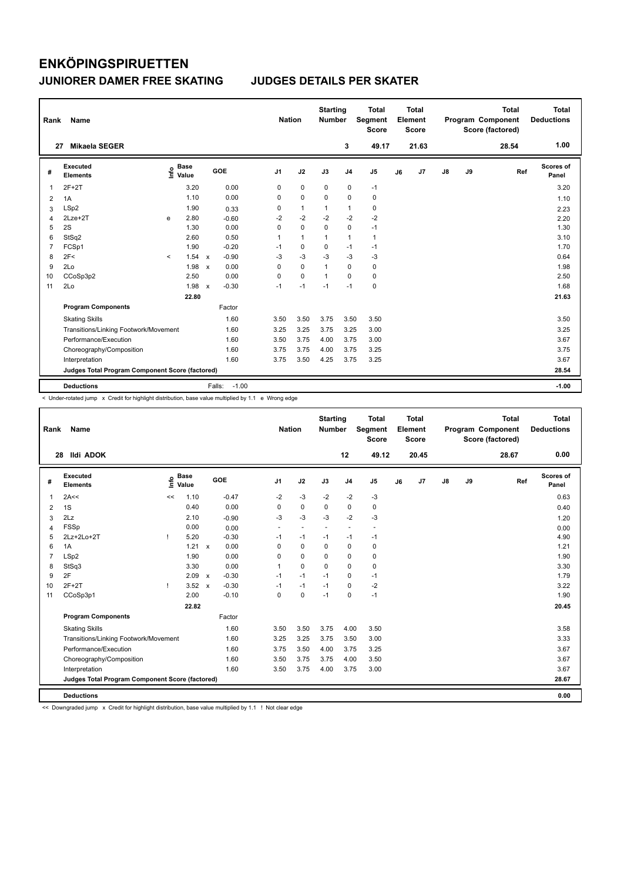| Rank           | Name<br>27                                      |         |                      |                           |                   |                | <b>Nation</b> |                | <b>Starting</b><br><b>Number</b> | <b>Total</b><br>Segment<br><b>Score</b> |    | <b>Total</b><br>Element<br><b>Score</b> |               |    | <b>Total</b><br>Program Component<br>Score (factored) | <b>Total</b><br><b>Deductions</b> |
|----------------|-------------------------------------------------|---------|----------------------|---------------------------|-------------------|----------------|---------------|----------------|----------------------------------|-----------------------------------------|----|-----------------------------------------|---------------|----|-------------------------------------------------------|-----------------------------------|
|                | <b>Mikaela SEGER</b>                            |         |                      |                           |                   |                |               |                | 3                                | 49.17                                   |    | 21.63                                   |               |    | 28.54                                                 | 1.00                              |
| #              | Executed<br><b>Elements</b>                     | ۴۵      | <b>Base</b><br>Value |                           | GOE               | J <sub>1</sub> | J2            | J3             | J <sub>4</sub>                   | J <sub>5</sub>                          | J6 | J <sub>7</sub>                          | $\mathsf{J}8$ | J9 | Ref                                                   | Scores of<br>Panel                |
| 1              | $2F+2T$                                         |         | 3.20                 |                           | 0.00              | 0              | $\mathbf 0$   | $\mathbf 0$    | $\pmb{0}$                        | $-1$                                    |    |                                         |               |    |                                                       | 3.20                              |
| 2              | 1A                                              |         | 1.10                 |                           | 0.00              | 0              | $\mathbf 0$   | $\Omega$       | $\mathbf 0$                      | $\pmb{0}$                               |    |                                         |               |    |                                                       | 1.10                              |
| 3              | LSp2                                            |         | 1.90                 |                           | 0.33              | 0              | $\mathbf{1}$  | $\mathbf{1}$   | $\mathbf{1}$                     | 0                                       |    |                                         |               |    |                                                       | 2.23                              |
| 4              | 2Lze+2T                                         | e       | 2.80                 |                           | $-0.60$           | $-2$           | $-2$          | $-2$           | $-2$                             | $-2$                                    |    |                                         |               |    |                                                       | 2.20                              |
| 5              | 2S                                              |         | 1.30                 |                           | 0.00              | 0              | $\mathbf 0$   | 0              | 0                                | $-1$                                    |    |                                         |               |    |                                                       | 1.30                              |
| 6              | StSq2                                           |         | 2.60                 |                           | 0.50              | 1              | $\mathbf{1}$  | 1              | $\mathbf{1}$                     | $\mathbf{1}$                            |    |                                         |               |    |                                                       | 3.10                              |
| $\overline{7}$ | FCSp1                                           |         | 1.90                 |                           | $-0.20$           | $-1$           | $\mathbf 0$   | 0              | $-1$                             | $-1$                                    |    |                                         |               |    |                                                       | 1.70                              |
| 8              | 2F<                                             | $\prec$ | 1.54                 | $\mathsf{x}$              | $-0.90$           | $-3$           | $-3$          | $-3$           | $-3$                             | -3                                      |    |                                         |               |    |                                                       | 0.64                              |
| 9              | 2Lo                                             |         | 1.98                 | $\boldsymbol{\mathsf{x}}$ | 0.00              | 0              | 0             | $\mathbf{1}$   | 0                                | 0                                       |    |                                         |               |    |                                                       | 1.98                              |
| 10             | CCoSp3p2                                        |         | 2.50                 |                           | 0.00              | 0              | $\mathbf 0$   | $\overline{1}$ | $\Omega$                         | 0                                       |    |                                         |               |    |                                                       | 2.50                              |
| 11             | 2Lo                                             |         | 1.98                 | $\mathsf{x}$              | $-0.30$           | $-1$           | $-1$          | $-1$           | $-1$                             | $\pmb{0}$                               |    |                                         |               |    |                                                       | 1.68                              |
|                |                                                 |         | 22.80                |                           |                   |                |               |                |                                  |                                         |    |                                         |               |    |                                                       | 21.63                             |
|                | <b>Program Components</b>                       |         |                      |                           | Factor            |                |               |                |                                  |                                         |    |                                         |               |    |                                                       |                                   |
|                | <b>Skating Skills</b>                           |         |                      |                           | 1.60              | 3.50           | 3.50          | 3.75           | 3.50                             | 3.50                                    |    |                                         |               |    |                                                       | 3.50                              |
|                | Transitions/Linking Footwork/Movement           |         |                      |                           | 1.60              | 3.25           | 3.25          | 3.75           | 3.25                             | 3.00                                    |    |                                         |               |    |                                                       | 3.25                              |
|                | Performance/Execution                           |         |                      |                           | 1.60              | 3.50           | 3.75          | 4.00           | 3.75                             | 3.00                                    |    |                                         |               |    |                                                       | 3.67                              |
|                | Choreography/Composition                        |         |                      |                           | 1.60              | 3.75           | 3.75          | 4.00           | 3.75                             | 3.25                                    |    |                                         |               |    |                                                       | 3.75                              |
|                | Interpretation                                  |         |                      |                           | 1.60              | 3.75           | 3.50          | 4.25           | 3.75                             | 3.25                                    |    |                                         |               |    |                                                       | 3.67                              |
|                | Judges Total Program Component Score (factored) |         |                      |                           |                   |                |               |                |                                  |                                         |    |                                         |               |    |                                                       | 28.54                             |
|                | <b>Deductions</b>                               |         |                      |                           | $-1.00$<br>Falls: |                |               |                |                                  |                                         |    |                                         |               |    |                                                       | $-1.00$                           |

< Under-rotated jump x Credit for highlight distribution, base value multiplied by 1.1 e Wrong edge

| Rank           | Name                                            |      |                      |                           |            | <b>Nation</b>  |                          | <b>Starting</b><br><b>Number</b> |                          | <b>Total</b><br>Segment<br><b>Score</b> |    | <b>Total</b><br>Element<br><b>Score</b> |    |    | <b>Total</b><br>Program Component<br>Score (factored) |     | <b>Total</b><br><b>Deductions</b> |
|----------------|-------------------------------------------------|------|----------------------|---------------------------|------------|----------------|--------------------------|----------------------------------|--------------------------|-----------------------------------------|----|-----------------------------------------|----|----|-------------------------------------------------------|-----|-----------------------------------|
| 28             | <b>Ildi ADOK</b>                                |      |                      |                           |            |                |                          |                                  | 12                       | 49.12                                   |    | 20.45                                   |    |    | 28.67                                                 |     | 0.00                              |
| #              | Executed<br><b>Elements</b>                     | ١nfo | <b>Base</b><br>Value |                           | <b>GOE</b> | J <sub>1</sub> | J2                       | J3                               | J <sub>4</sub>           | J <sub>5</sub>                          | J6 | J <sub>7</sub>                          | J8 | J9 |                                                       | Ref | Scores of<br>Panel                |
| $\overline{1}$ | 2A<<                                            | <<   | 1.10                 |                           | $-0.47$    | $-2$           | $-3$                     | $-2$                             | $-2$                     | $-3$                                    |    |                                         |    |    |                                                       |     | 0.63                              |
| 2              | 1S                                              |      | 0.40                 |                           | 0.00       | $\Omega$       | $\mathbf 0$              | $\Omega$                         | 0                        | 0                                       |    |                                         |    |    |                                                       |     | 0.40                              |
| 3              | 2Lz                                             |      | 2.10                 |                           | $-0.90$    | $-3$           | $-3$                     | $-3$                             | $-2$                     | $-3$                                    |    |                                         |    |    |                                                       |     | 1.20                              |
| 4              | <b>FSSp</b>                                     |      | 0.00                 |                           | 0.00       | $\sim$         | $\overline{\phantom{a}}$ | $\sim$                           | $\overline{\phantom{a}}$ | $\overline{\phantom{a}}$                |    |                                         |    |    |                                                       |     | 0.00                              |
| 5              | 2Lz+2Lo+2T                                      | т    | 5.20                 |                           | $-0.30$    | $-1$           | $-1$                     | $-1$                             | $-1$                     | $-1$                                    |    |                                         |    |    |                                                       |     | 4.90                              |
| 6              | 1A                                              |      | 1.21                 | $\boldsymbol{\mathsf{x}}$ | 0.00       | $\Omega$       | $\Omega$                 | $\Omega$                         | $\mathbf 0$              | 0                                       |    |                                         |    |    |                                                       |     | 1.21                              |
| $\overline{7}$ | LSp2                                            |      | 1.90                 |                           | 0.00       | 0              | 0                        | $\Omega$                         | 0                        | 0                                       |    |                                         |    |    |                                                       |     | 1.90                              |
| 8              | StSq3                                           |      | 3.30                 |                           | 0.00       | $\mathbf{1}$   | $\Omega$                 | $\Omega$                         | $\Omega$                 | 0                                       |    |                                         |    |    |                                                       |     | 3.30                              |
| 9              | 2F                                              |      | 2.09                 | $\mathsf{x}$              | $-0.30$    | $-1$           | $-1$                     | $-1$                             | 0                        | $-1$                                    |    |                                         |    |    |                                                       |     | 1.79                              |
| 10             | $2F+2T$                                         |      | 3.52                 | $\boldsymbol{\mathsf{x}}$ | $-0.30$    | $-1$           | $-1$                     | $-1$                             | 0                        | $-2$                                    |    |                                         |    |    |                                                       |     | 3.22                              |
| 11             | CCoSp3p1                                        |      | 2.00                 |                           | $-0.10$    | $\mathbf 0$    | $\mathbf 0$              | $-1$                             | 0                        | $-1$                                    |    |                                         |    |    |                                                       |     | 1.90                              |
|                |                                                 |      | 22.82                |                           |            |                |                          |                                  |                          |                                         |    |                                         |    |    |                                                       |     | 20.45                             |
|                | <b>Program Components</b>                       |      |                      |                           | Factor     |                |                          |                                  |                          |                                         |    |                                         |    |    |                                                       |     |                                   |
|                | <b>Skating Skills</b>                           |      |                      |                           | 1.60       | 3.50           | 3.50                     | 3.75                             | 4.00                     | 3.50                                    |    |                                         |    |    |                                                       |     | 3.58                              |
|                | Transitions/Linking Footwork/Movement           |      |                      |                           | 1.60       | 3.25           | 3.25                     | 3.75                             | 3.50                     | 3.00                                    |    |                                         |    |    |                                                       |     | 3.33                              |
|                | Performance/Execution                           |      |                      |                           | 1.60       | 3.75           | 3.50                     | 4.00                             | 3.75                     | 3.25                                    |    |                                         |    |    |                                                       |     | 3.67                              |
|                | Choreography/Composition                        |      |                      |                           | 1.60       | 3.50           | 3.75                     | 3.75                             | 4.00                     | 3.50                                    |    |                                         |    |    |                                                       |     | 3.67                              |
|                | Interpretation                                  |      |                      |                           | 1.60       | 3.50           | 3.75                     | 4.00                             | 3.75                     | 3.00                                    |    |                                         |    |    |                                                       |     | 3.67                              |
|                | Judges Total Program Component Score (factored) |      |                      |                           |            |                |                          |                                  |                          |                                         |    |                                         |    |    |                                                       |     | 28.67                             |
|                | <b>Deductions</b>                               |      |                      |                           |            |                |                          |                                  |                          |                                         |    |                                         |    |    |                                                       |     | 0.00                              |

<< Downgraded jump x Credit for highlight distribution, base value multiplied by 1.1 ! Not clear edge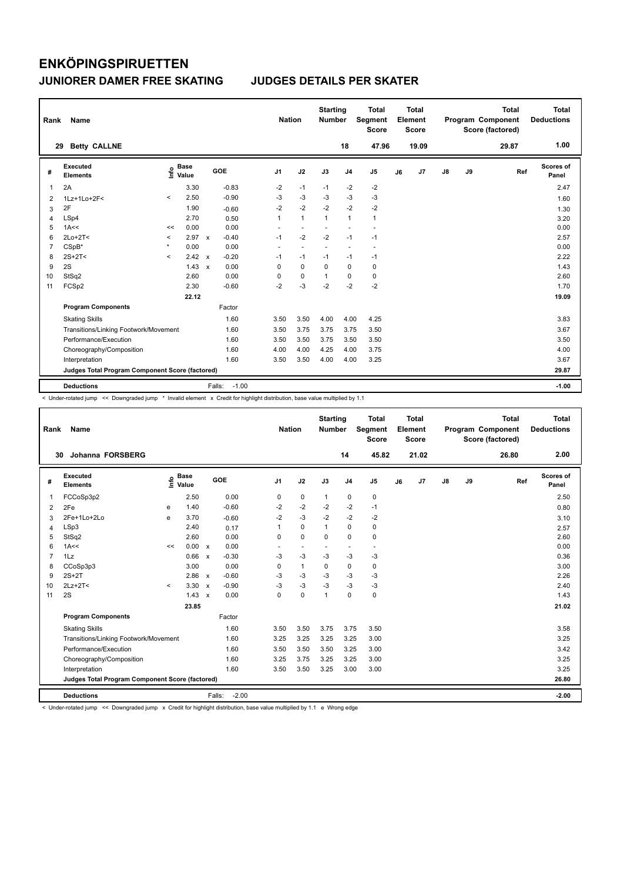| Rank           | Name                                            |         |                      |              |                   | <b>Nation</b>  |                          | <b>Starting</b><br><b>Number</b> |                          | Total<br>Segment<br><b>Score</b> |    | <b>Total</b><br>Element<br><b>Score</b> |               |    | <b>Total</b><br>Program Component<br>Score (factored) | <b>Total</b><br><b>Deductions</b> |
|----------------|-------------------------------------------------|---------|----------------------|--------------|-------------------|----------------|--------------------------|----------------------------------|--------------------------|----------------------------------|----|-----------------------------------------|---------------|----|-------------------------------------------------------|-----------------------------------|
| 29             | <b>Betty CALLNE</b>                             |         |                      |              |                   |                |                          |                                  | 18                       | 47.96                            |    | 19.09                                   |               |    | 29.87                                                 | 1.00                              |
| #              | Executed<br><b>Elements</b>                     | ١nfo    | <b>Base</b><br>Value |              | GOE               | J <sub>1</sub> | J2                       | J3                               | J <sub>4</sub>           | J <sub>5</sub>                   | J6 | J7                                      | $\mathsf{J}8$ | J9 | Ref                                                   | Scores of<br>Panel                |
| 1              | 2A                                              |         | 3.30                 |              | $-0.83$           | $-2$           | $-1$                     | $-1$                             | $-2$                     | $-2$                             |    |                                         |               |    |                                                       | 2.47                              |
| 2              | 1Lz+1Lo+2F<                                     | $\prec$ | 2.50                 |              | $-0.90$           | $-3$           | $-3$                     | $-3$                             | $-3$                     | $-3$                             |    |                                         |               |    |                                                       | 1.60                              |
| 3              | 2F                                              |         | 1.90                 |              | $-0.60$           | $-2$           | $-2$                     | $-2$                             | $-2$                     | $-2$                             |    |                                         |               |    |                                                       | 1.30                              |
| 4              | LSp4                                            |         | 2.70                 |              | 0.50              | $\mathbf{1}$   | $\mathbf{1}$             | $\mathbf{1}$                     | $\mathbf{1}$             | $\mathbf{1}$                     |    |                                         |               |    |                                                       | 3.20                              |
| 5              | 1A<<                                            | <<      | 0.00                 |              | 0.00              | $\sim$         | $\overline{\phantom{a}}$ | $\overline{\phantom{a}}$         | $\overline{\phantom{a}}$ | $\ddot{\phantom{1}}$             |    |                                         |               |    |                                                       | 0.00                              |
| 6              | $2Lo+2T<$                                       | $\,<$   | 2.97                 | $\mathbf{x}$ | $-0.40$           | $-1$           | $-2$                     | $-2$                             | $-1$                     | $-1$                             |    |                                         |               |    |                                                       | 2.57                              |
| $\overline{7}$ | CSpB*                                           | $\star$ | 0.00                 |              | 0.00              | $\sim$         | $\overline{a}$           | $\overline{\phantom{a}}$         | ٠                        | $\sim$                           |    |                                         |               |    |                                                       | 0.00                              |
| 8              | $2S+2T2$                                        | $\prec$ | 2.42                 | $\mathsf{x}$ | $-0.20$           | $-1$           | $-1$                     | $-1$                             | $-1$                     | $-1$                             |    |                                         |               |    |                                                       | 2.22                              |
| 9              | 2S                                              |         | 1.43                 | $\mathsf{x}$ | 0.00              | 0              | 0                        | 0                                | 0                        | 0                                |    |                                         |               |    |                                                       | 1.43                              |
| 10             | StSq2                                           |         | 2.60                 |              | 0.00              | 0              | 0                        | $\mathbf 1$                      | 0                        | 0                                |    |                                         |               |    |                                                       | 2.60                              |
| 11             | FCSp2                                           |         | 2.30                 |              | $-0.60$           | $-2$           | $-3$                     | $-2$                             | $-2$                     | $-2$                             |    |                                         |               |    |                                                       | 1.70                              |
|                |                                                 |         | 22.12                |              |                   |                |                          |                                  |                          |                                  |    |                                         |               |    |                                                       | 19.09                             |
|                | <b>Program Components</b>                       |         |                      |              | Factor            |                |                          |                                  |                          |                                  |    |                                         |               |    |                                                       |                                   |
|                | <b>Skating Skills</b>                           |         |                      |              | 1.60              | 3.50           | 3.50                     | 4.00                             | 4.00                     | 4.25                             |    |                                         |               |    |                                                       | 3.83                              |
|                | Transitions/Linking Footwork/Movement           |         |                      |              | 1.60              | 3.50           | 3.75                     | 3.75                             | 3.75                     | 3.50                             |    |                                         |               |    |                                                       | 3.67                              |
|                | Performance/Execution                           |         |                      |              | 1.60              | 3.50           | 3.50                     | 3.75                             | 3.50                     | 3.50                             |    |                                         |               |    |                                                       | 3.50                              |
|                | Choreography/Composition                        |         |                      |              | 1.60              | 4.00           | 4.00                     | 4.25                             | 4.00                     | 3.75                             |    |                                         |               |    |                                                       | 4.00                              |
|                | Interpretation                                  |         |                      |              | 1.60              | 3.50           | 3.50                     | 4.00                             | 4.00                     | 3.25                             |    |                                         |               |    |                                                       | 3.67                              |
|                | Judges Total Program Component Score (factored) |         |                      |              |                   |                |                          |                                  |                          |                                  |    |                                         |               |    |                                                       | 29.87                             |
|                | <b>Deductions</b>                               |         |                      |              | $-1.00$<br>Falls: |                |                          |                                  |                          |                                  |    |                                         |               |    |                                                       | $-1.00$                           |

< Under-rotated jump << Downgraded jump \* Invalid element x Credit for highlight distribution, base value multiplied by 1.1

| Rank           | Name                                            |         |                      |                           |                   | <b>Nation</b>  |                          | <b>Starting</b><br><b>Number</b> |                          | <b>Total</b><br>Segment<br><b>Score</b> |    | <b>Total</b><br>Element<br>Score |               |    | <b>Total</b><br>Program Component<br>Score (factored) | <b>Total</b><br><b>Deductions</b> |
|----------------|-------------------------------------------------|---------|----------------------|---------------------------|-------------------|----------------|--------------------------|----------------------------------|--------------------------|-----------------------------------------|----|----------------------------------|---------------|----|-------------------------------------------------------|-----------------------------------|
| 30             | Johanna FORSBERG                                |         |                      |                           |                   |                |                          |                                  | 14                       | 45.82                                   |    | 21.02                            |               |    | 26.80                                                 | 2.00                              |
| #              | <b>Executed</b><br><b>Elements</b>              | lnfo    | <b>Base</b><br>Value |                           | GOE               | J <sub>1</sub> | J2                       | J3                               | J <sub>4</sub>           | J <sub>5</sub>                          | J6 | J <sub>7</sub>                   | $\mathsf{J}8$ | J9 | Ref                                                   | <b>Scores of</b><br>Panel         |
| 1              | FCCoSp3p2                                       |         | 2.50                 |                           | 0.00              | 0              | $\mathbf 0$              | $\mathbf{1}$                     | 0                        | 0                                       |    |                                  |               |    |                                                       | 2.50                              |
| 2              | 2Fe                                             | e       | 1.40                 |                           | $-0.60$           | $-2$           | $-2$                     | $-2$                             | $-2$                     | $-1$                                    |    |                                  |               |    |                                                       | 0.80                              |
| 3              | 2Fe+1Lo+2Lo                                     | e       | 3.70                 |                           | $-0.60$           | $-2$           | $-3$                     | $-2$                             | $-2$                     | $-2$                                    |    |                                  |               |    |                                                       | 3.10                              |
| 4              | LSp3                                            |         | 2.40                 |                           | 0.17              | 1              | $\mathbf 0$              | $\mathbf{1}$                     | $\mathbf 0$              | 0                                       |    |                                  |               |    |                                                       | 2.57                              |
| 5              | StSq2                                           |         | 2.60                 |                           | 0.00              | 0              | $\mathbf 0$              | $\mathbf 0$                      | $\mathbf 0$              | 0                                       |    |                                  |               |    |                                                       | 2.60                              |
| 6              | 1A<<                                            | <<      | 0.00 x               |                           | 0.00              | $\sim$         | $\overline{\phantom{a}}$ | $\overline{\phantom{a}}$         | $\overline{\phantom{a}}$ | $\blacksquare$                          |    |                                  |               |    |                                                       | 0.00                              |
| $\overline{7}$ | 1Lz                                             |         | 0.66                 | $\mathsf{x}$              | $-0.30$           | $-3$           | $-3$                     | $-3$                             | $-3$                     | $-3$                                    |    |                                  |               |    |                                                       | 0.36                              |
| 8              | CCoSp3p3                                        |         | 3.00                 |                           | 0.00              | 0              | $\overline{1}$           | $\Omega$                         | $\mathbf 0$              | 0                                       |    |                                  |               |    |                                                       | 3.00                              |
| 9              | $2S+2T$                                         |         | 2.86                 | $\mathsf{x}$              | $-0.60$           | $-3$           | $-3$                     | $-3$                             | $-3$                     | $-3$                                    |    |                                  |               |    |                                                       | 2.26                              |
| 10             | $2Lz+2T<$                                       | $\prec$ | 3.30                 | $\boldsymbol{\mathsf{x}}$ | $-0.90$           | $-3$           | $-3$                     | $-3$                             | $-3$                     | $-3$                                    |    |                                  |               |    |                                                       | 2.40                              |
| 11             | 2S                                              |         | 1.43                 | $\boldsymbol{\mathsf{x}}$ | 0.00              | 0              | $\mathbf 0$              | $\mathbf{1}$                     | $\mathbf 0$              | 0                                       |    |                                  |               |    |                                                       | 1.43                              |
|                |                                                 |         | 23.85                |                           |                   |                |                          |                                  |                          |                                         |    |                                  |               |    |                                                       | 21.02                             |
|                | <b>Program Components</b>                       |         |                      |                           | Factor            |                |                          |                                  |                          |                                         |    |                                  |               |    |                                                       |                                   |
|                | <b>Skating Skills</b>                           |         |                      |                           | 1.60              | 3.50           | 3.50                     | 3.75                             | 3.75                     | 3.50                                    |    |                                  |               |    |                                                       | 3.58                              |
|                | Transitions/Linking Footwork/Movement           |         |                      |                           | 1.60              | 3.25           | 3.25                     | 3.25                             | 3.25                     | 3.00                                    |    |                                  |               |    |                                                       | 3.25                              |
|                | Performance/Execution                           |         |                      |                           | 1.60              | 3.50           | 3.50                     | 3.50                             | 3.25                     | 3.00                                    |    |                                  |               |    |                                                       | 3.42                              |
|                | Choreography/Composition                        |         |                      |                           | 1.60              | 3.25           | 3.75                     | 3.25                             | 3.25                     | 3.00                                    |    |                                  |               |    |                                                       | 3.25                              |
|                | Interpretation                                  |         |                      |                           | 1.60              | 3.50           | 3.50                     | 3.25                             | 3.00                     | 3.00                                    |    |                                  |               |    |                                                       | 3.25                              |
|                | Judges Total Program Component Score (factored) |         |                      |                           |                   |                |                          |                                  |                          |                                         |    |                                  |               |    |                                                       | 26.80                             |
|                | <b>Deductions</b>                               |         |                      |                           | $-2.00$<br>Falls: |                |                          |                                  |                          |                                         |    |                                  |               |    |                                                       | $-2.00$                           |

< Under-rotated jump << Downgraded jump x Credit for highlight distribution, base value multiplied by 1.1 e Wrong edge